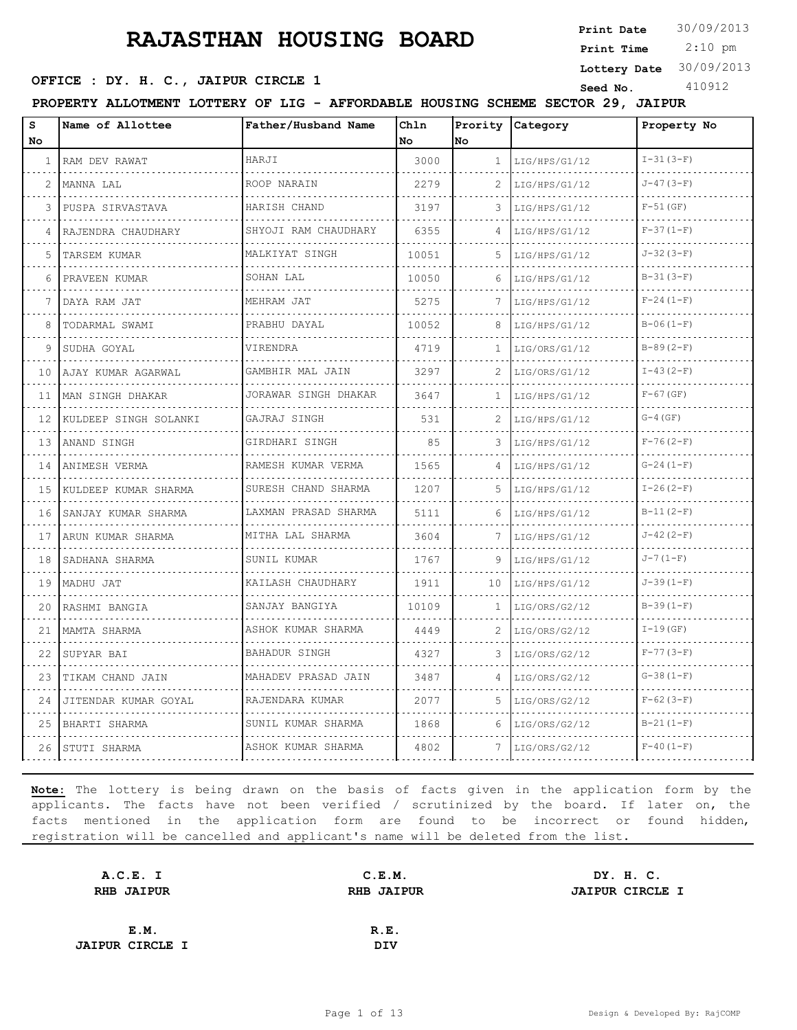**Print Date**  $30/09/2013$ 

 2:10 pm **Print Time**

#### **Lottery Date** 30/09/2013

#### **OFFICE : DY. H. C., JAIPUR CIRCLE 1** Seed No. 410912

| AFFORDABLE HOUSING SCHEME SECTOR 29,<br>PROPERTY ALLOTMENT LOTTERY OF LIG -<br><b>JAIPUR</b> |
|----------------------------------------------------------------------------------------------|
|----------------------------------------------------------------------------------------------|

| S   | Name of Allottee      | Father/Husband Name       | Chln  | Prority      | Category      | Property No      |
|-----|-----------------------|---------------------------|-------|--------------|---------------|------------------|
| No. |                       |                           | No.   | No           |               |                  |
| 1   | RAM DEV RAWAT         | HARJI                     | 3000  | $\mathbf{1}$ | LIG/HPS/G1/12 | $I-31(3-F)$      |
| 2   | MANNA LAL             | ROOP NARAIN               | 2279  | 2            | LIG/HPS/G1/12 | $J-47(3-F)$      |
| 3   | PUSPA SIRVASTAVA      | HARISH CHAND              | 3197  | 3            | LIG/HPS/G1/12 | $F-51$ (GF)      |
| 4   | RAJENDRA CHAUDHARY    | SHYOJI RAM CHAUDHARY      | 6355  |              | LIG/HPS/G1/12 | $F-37(1-F)$      |
| 5   | TARSEM KUMAR          | MALKIYAT SINGH            | 10051 | 5            | LIG/HPS/G1/12 | $J - 32(3 - F)$  |
| 6   | PRAVEEN KUMAR         | SOHAN LAL                 | 10050 | 6            | LIG/HPS/G1/12 | $B-31(3-F)$      |
|     | DAYA RAM JAT          | MEHRAM JAT                | 5275  |              | LIG/HPS/G1/12 | $F-24(1-F)$      |
| 8   | TODARMAL SWAMI        | PRABHU DAYAL              | 10052 | 8            | LIG/HPS/G1/12 | $B-06(1-F)$      |
| 9   | SUDHA GOYAL           | VIRENDRA                  | 4719  | 1            | LIG/ORS/G1/12 | $B-89(2-F)$      |
| 10  | AJAY KUMAR AGARWAL    | GAMBHIR MAL JAIN          | 3297  | 2            | LIG/ORS/G1/12 | $I - 43 (2 - F)$ |
| 11  | MAN SINGH DHAKAR      | JORAWAR SINGH DHAKAR      | 3647  | $\mathbf{1}$ | LIG/HPS/G1/12 | $F-67$ (GF)      |
| 12  | KULDEEP SINGH SOLANKI | GAJRAJ SINGH              | 531   | 2            | LIG/HPS/G1/12 | $G-4$ (GF)       |
| 13  | ANAND SINGH           | GIRDHARI SINGH            | 85    | 3            | LIG/HPS/G1/12 | $F-76(2-F)$      |
| 14  | ANIMESH VERMA         | RAMESH KUMAR VERMA        | 1565  | 4            | LIG/HPS/G1/12 | $G-24(1-F)$      |
| 15  | KULDEEP KUMAR SHARMA  | SURESH CHAND SHARMA       | 1207  | 5            | LIG/HPS/G1/12 | $I - 26 (2-F)$   |
| 16  | SANJAY KUMAR SHARMA   | LAXMAN PRASAD SHARMA<br>. | 5111  | 6            | LIG/HPS/G1/12 | $B-11(2-F)$      |
| 17  | ARUN KUMAR SHARMA     | MITHA LAL SHARMA          | 3604  | 7            | LIG/HPS/G1/12 | $J-42(2-F)$      |
| 18  | SADHANA SHARMA        | SUNIL KUMAR               | 1767  | 9            | LIG/HPS/G1/12 | $J - 7(1-F)$     |
| 19  | MADHU JAT             | KAILASH CHAUDHARY         | 1911  | 10           | LIG/HPS/G1/12 | $J-39(1-F)$      |
| 20  | RASHMI BANGIA         | SANJAY BANGIYA            | 10109 | 1            | LIG/ORS/G2/12 | $B-39(1-F)$      |
| 21  | MAMTA SHARMA          | ASHOK KUMAR SHARMA        | 4449  | 2            | LIG/ORS/G2/12 | $I-19(GF)$       |
| 22  | SUPYAR BAI            | BAHADUR SINGH             | 4327  | 3            | LIG/ORS/G2/12 | $F-77(3-F)$      |
| 23  | TIKAM CHAND JAIN      | MAHADEV PRASAD JAIN       | 3487  | 4            | LIG/ORS/G2/12 | $G-38(1-F)$      |
| 24  | JITENDAR KUMAR GOYAL  | RAJENDARA KUMAR           | 2077  | 5            | LIG/ORS/G2/12 | $F-62(3-F)$      |
| 25  | BHARTI SHARMA         | SUNIL KUMAR SHARMA        | 1868  | 6            | LIG/ORS/G2/12 | $B-21(1-F)$      |
| 26  | STUTI SHARMA          | ASHOK KUMAR SHARMA        | 4802  |              | LIG/ORS/G2/12 | $F-40(1-F)$      |

| A.C.E. I               | C.E.M.            | DY. H. C.              |
|------------------------|-------------------|------------------------|
| <b>RHB JAIPUR</b>      | <b>RHB JAIPUR</b> | <b>JAIPUR CIRCLE I</b> |
|                        |                   |                        |
| E.M.                   | R.E.              |                        |
| <b>JAIPUR CIRCLE I</b> | DIV               |                        |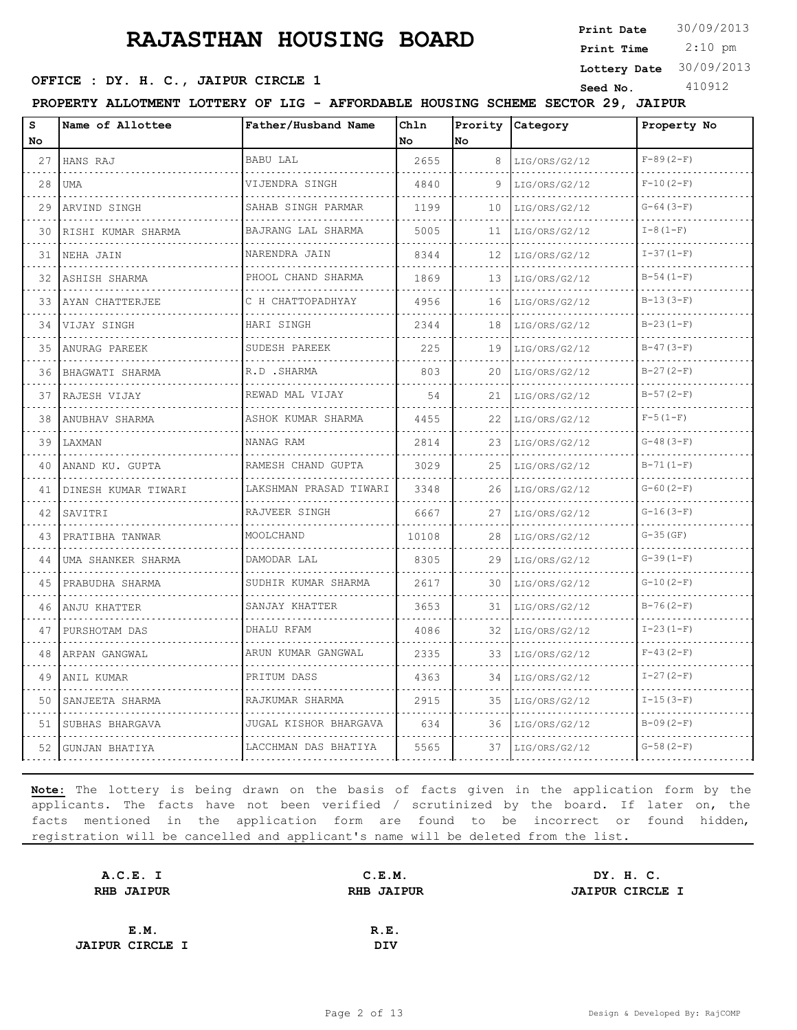**Print Date**  $30/09/2013$ 

 2:10 pm **Print Time**

#### **OFFICE : DY. H. C., JAIPUR CIRCLE 1** Seed No. 410912

**Lottery Date** 30/09/2013

**PROPERTY ALLOTMENT LOTTERY OF LIG - AFFORDABLE HOUSING SCHEME SECTOR 29, JAIPUR**

| s<br>No | Name of Allottee    | Father/Husband Name           | Chln<br>No | Prority<br>No | Category           | Property No  |
|---------|---------------------|-------------------------------|------------|---------------|--------------------|--------------|
| 27      | HANS RAJ            | <b>BABU LAL</b>               | 2655       | 8             | LIG/ORS/G2/12      | $F-89(2-F)$  |
| 28      | <b>UMA</b>          | VIJENDRA SINGH                | 4840       | 9             | LIG/ORS/G2/12      | $F-10(2-F)$  |
| 29      | ARVIND SINGH        | SAHAB SINGH PARMAR            | 1199       | 10            | LIG/ORS/G2/12      | $G-64(3-F)$  |
| 30      | RISHI KUMAR SHARMA  | BAJRANG LAL SHARMA            | 5005       | 11            | LIG/ORS/G2/12      | $I-8(1-F)$   |
| 31      | NEHA JAIN           | .<br>NARENDRA JAIN            | 8344       | 12            | .<br>LIG/ORS/G2/12 | $I-37(1-F)$  |
| 32      | ASHISH SHARMA       | PHOOL CHAND SHARMA            | 1869       | 13            | LIG/ORS/G2/12      | $B-54(1-F)$  |
| 33      | AYAN CHATTERJEE     | <u>.</u><br>C H CHATTOPADHYAY | 4956       | 16            | LIG/ORS/G2/12      | $B-13(3-F)$  |
| 34      | VIJAY SINGH         | HARI SINGH                    | 2344       | 18            | LIG/ORS/G2/12      | $B-23(1-F)$  |
| 35      | ANURAG PAREEK       | SUDESH PAREEK                 | 225        | 19            | LIG/ORS/G2/12      | $B-47(3-F)$  |
| 36      | BHAGWATI SHARMA     | R.D . SHARMA                  | 803        | 20            | LIG/ORS/G2/12      | $B-27(2-F)$  |
| 37      | RAJESH VIJAY        | REWAD MAL VIJAY               | 54         | 21            | LIG/ORS/G2/12      | $B-57(2-F)$  |
| 38      | ANUBHAV SHARMA      | ASHOK KUMAR SHARMA            | 4455       | 22            | LIG/ORS/G2/12      | $F-5(1-F)$   |
| 39      | LAXMAN              | .<br>NANAG RAM                | 2814       | 23            | LIG/ORS/G2/12      | $G-48(3-F)$  |
| 40      | ANAND KU. GUPTA     | RAMESH CHAND GUPTA            | 3029       | 25            | LIG/ORS/G2/12      | $B-71(1-F)$  |
| 41      | DINESH KUMAR TIWARI | LAKSHMAN PRASAD TIWARI<br>.   | 3348       | 26            | LIG/ORS/G2/12      | $G-60 (2-F)$ |
| 42      | SAVITRI             | RAJVEER SINGH                 | 6667       | 27            | LIG/ORS/G2/12      | $G-16(3-F)$  |
| 43      | PRATIBHA TANWAR     | MOOLCHAND                     | 10108      | 28            | LIG/ORS/G2/12      | $G-35(GF)$   |
| 44      | UMA SHANKER SHARMA  | DAMODAR LAL                   | 8305       | 29            | LIG/ORS/G2/12      | $G-39(1-F)$  |
| 45      | PRABUDHA SHARMA     | SUDHIR KUMAR SHARMA           | 2617       | 30            | LIG/ORS/G2/12      | $G-10(2-F)$  |
| 46      | ANJU KHATTER        | SANJAY KHATTER                | 3653       | 31            | LIG/ORS/G2/12      | $B-76(2-F)$  |
| 47      | PURSHOTAM DAS       | DHALU RFAM                    | 4086       | 32            | LIG/ORS/G2/12      | $I-23(1-F)$  |
| 48      | ARPAN GANGWAL       | ARUN KUMAR GANGWAL            | 2335       | 33            | LIG/ORS/G2/12      | $F-43(2-F)$  |
| 49      | ANIL KUMAR          | PRITUM DASS                   | 4363       | 34            | LIG/ORS/G2/12      | $I-27(2-F)$  |
| 50      | SANJEETA SHARMA     | RAJKUMAR SHARMA               | 2915       | 35            | LIG/ORS/G2/12      | $I-15(3-F)$  |
| 51      | SUBHAS BHARGAVA     | JUGAL KISHOR BHARGAVA         | 634        | 36            | LIG/ORS/G2/12      | $B-09(2-F)$  |
| 52      | GUNJAN BHATIYA      | LACCHMAN DAS BHATIYA          | 5565       | 37            | LIG/ORS/G2/12      | $G-58(2-F)$  |
|         |                     |                               |            |               |                    |              |

| A.C.E. I               | C.E.M.            | DY. H. C.              |
|------------------------|-------------------|------------------------|
| <b>RHB JAIPUR</b>      | <b>RHB JAIPUR</b> | <b>JAIPUR CIRCLE I</b> |
|                        |                   |                        |
| E.M.                   | R.E.              |                        |
| <b>JAIPUR CIRCLE I</b> | DIV               |                        |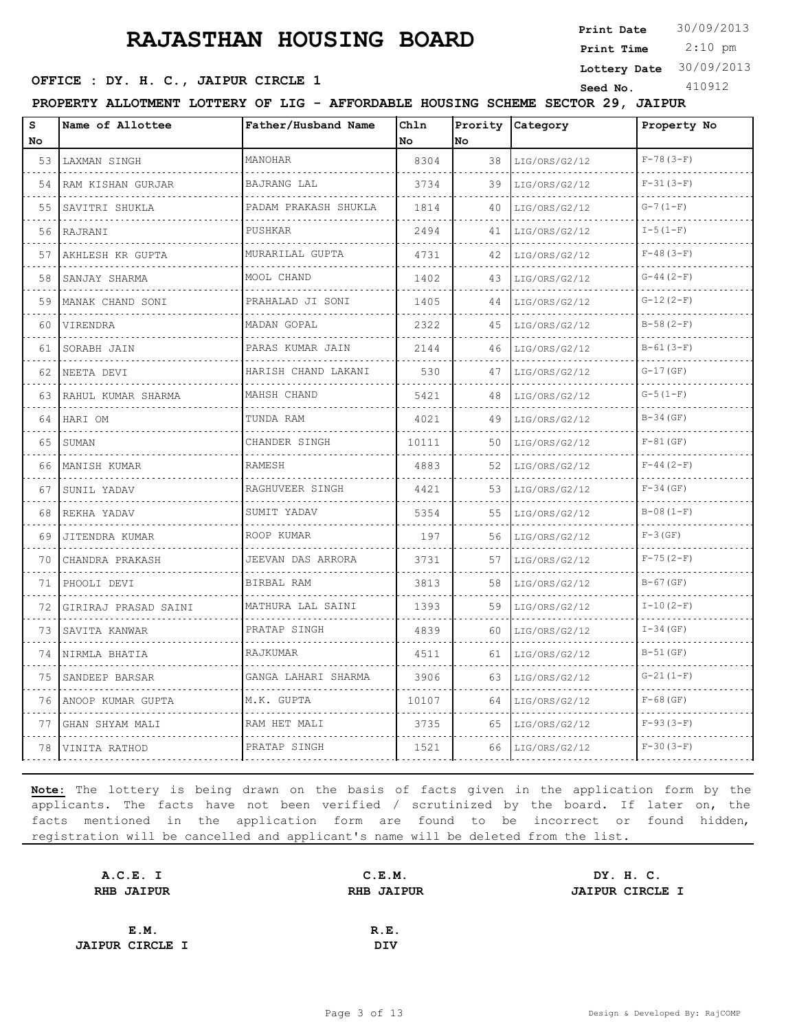**Print Date**  $30/09/2013$ 

 2:10 pm **Print Time**

**SEED OFFICE : DY. H. C., JAIPUR CIRCLE 1** Seed No. 410912

**Lottery Date** 30/09/2013

|--|

| s<br>No. | Name of Allottee     | Father/Husband Name      | Chln<br>No | Prority<br>No | Category           | Property No   |
|----------|----------------------|--------------------------|------------|---------------|--------------------|---------------|
| 53       | LAXMAN SINGH         | MANOHAR                  | 8304       | 38            | LIG/ORS/G2/12      | $F-78(3-F)$   |
| 54       | RAM KISHAN GURJAR    | BAJRANG LAL              | 3734       | 39            | LIG/ORS/G2/12      | $F-31(3-F)$   |
| 55       | SAVITRI SHUKLA       | PADAM PRAKASH SHUKLA     | 1814       | 40            | LIG/ORS/G2/12      | $G-7(1-F)$    |
| 56       | RAJRANI              | PUSHKAR                  | 2494       | 41            | LIG/ORS/G2/12      | $I - 5(1-F)$  |
| 57       | AKHLESH KR GUPTA     | MURARILAL GUPTA          | 4731       | 42            | LIG/ORS/G2/12      | $F-48(3-F)$   |
| 58       | SANJAY SHARMA        | MOOL CHAND               | 1402       | 43            | LIG/ORS/G2/12      | $G-44(2-F)$   |
| 59       | MANAK CHAND SONI     | PRAHALAD JI SONI         | 1405       | 44            | LIG/ORS/G2/12      | $G-12(2-F)$   |
| 60       | VIRENDRA             | MADAN GOPAL              | 2322       | 45            | LIG/ORS/G2/12      | $B-58(2-F)$   |
| 61       | SORABH JAIN          | PARAS KUMAR JAIN         | 2144       | 46            | LIG/ORS/G2/12      | $B-61(3-F)$   |
| 62       | NEETA DEVI           | HARISH CHAND LAKANI<br>. | 530        | 47            | LIG/ORS/G2/12      | $G-17(GF)$    |
| 63       | RAHUL KUMAR SHARMA   | MAHSH CHAND              | 5421       | 48            | LIG/ORS/G2/12      | $G-5(1-F)$    |
| 64       | HARI OM              | TUNDA RAM                | 4021       | 49            | LIG/ORS/G2/12      | $B-34$ (GF)   |
| 65       | SUMAN                | CHANDER SINGH            | 10111      | 50            | LIG/ORS/G2/12<br>. | $F-81$ (GF)   |
| 66       | MANISH KUMAR         | <b>RAMESH</b>            | 4883       | 52            | LIG/ORS/G2/12      | $F-44(2-F)$   |
| 67       | SUNIL YADAV          | RAGHUVEER SINGH          | 4421       | 53            | LIG/ORS/G2/12      | $F-34$ (GF)   |
| 68       | REKHA YADAV          | SUMIT YADAV              | 5354       | 55            | LIG/ORS/G2/12      | $B-08(1-F)$   |
| 69       | JITENDRA KUMAR       | ROOP KUMAR               | 197        | 56            | LIG/ORS/G2/12      | $F-3$ (GF)    |
| 70       | CHANDRA PRAKASH      | JEEVAN DAS ARRORA        | 3731       | 57            | LIG/ORS/G2/12      | $F - 75(2-F)$ |
| 71       | PHOOLI DEVI          | BIRBAL RAM               | 3813       | 58            | LIG/ORS/G2/12      | $B-67$ (GF)   |
| 72       | GIRIRAJ PRASAD SAINI | MATHURA LAL SAINI        | 1393       | 59            | LIG/ORS/G2/12      | $I-10(2-F)$   |
| 73       | SAVITA KANWAR        | PRATAP SINGH             | 4839       | 60            | LIG/ORS/G2/12      | $I-34$ (GF)   |
| 74       | NIRMLA BHATIA        | RAJKUMAR                 | 4511       | 61            | LIG/ORS/G2/12      | $B-51$ (GF)   |
| 75       | SANDEEP BARSAR       | GANGA LAHARI SHARMA      | 3906       | 63            | LIG/ORS/G2/12      | $G-21(1-F)$   |
| 76       | ANOOP KUMAR GUPTA    | M.K. GUPTA               | 10107      | 64            | LIG/ORS/G2/12      | $F-68$ (GF)   |
| 77       | GHAN SHYAM MALI      | RAM HET MALI             | 3735       | 65            | LIG/ORS/G2/12      | $F-93(3-F)$   |
| 78       | VINITA RATHOD        | PRATAP SINGH             | 1521       | 66.           | LIG/ORS/G2/12      | $F-30(3-F)$   |

| A.C.E. I               | C.E.M.            | DY. H. C.              |
|------------------------|-------------------|------------------------|
| <b>RHB JAIPUR</b>      | <b>RHB JAIPUR</b> | <b>JAIPUR CIRCLE I</b> |
|                        |                   |                        |
| E.M.                   | R.E.              |                        |
| <b>JAIPUR CIRCLE I</b> | DIV               |                        |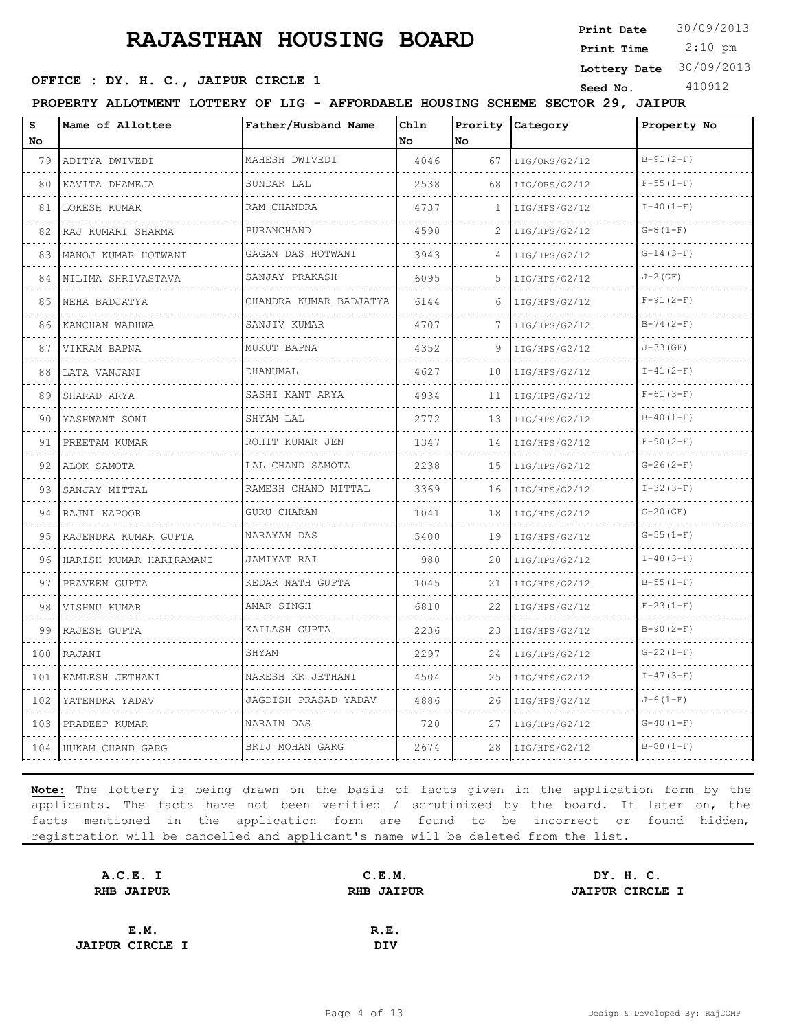**Print Date**  $30/09/2013$ 

 2:10 pm **Print Time**

**Lottery Date** 30/09/2013

# **OFFICE : DY. H. C., JAIPUR CIRCLE 1** Seed No. 410912

|--|

| S<br>No.                                         | Name of Allottee         | Father/Husband Name           | Chln<br>No | Prority<br><b>No</b> | Category           | Property No   |
|--------------------------------------------------|--------------------------|-------------------------------|------------|----------------------|--------------------|---------------|
| 79                                               | ADITYA DWIVEDI           | MAHESH DWIVEDI                | 4046       | 67                   | LIG/ORS/G2/12      | $B-91(2-F)$   |
| .<br>80                                          | .<br>KAVITA DHAMEJA      | .<br>SUNDAR LAL               | 2538       | 68                   | .<br>LIG/ORS/G2/12 | $F-55(1-F)$   |
| 81                                               | LOKESH KUMAR             | RAM CHANDRA                   | 4737       | $\mathbf{1}$         | LIG/HPS/G2/12      | $I-40(1-F)$   |
| 82                                               | RAJ KUMARI SHARMA        | PURANCHAND                    | 4590       | 2                    | LIG/HPS/G2/12      | $G-8(1-F)$    |
| 83                                               | .<br>MANOJ KUMAR HOTWANI | .<br>GAGAN DAS HOTWANI        | 3943       | 4                    | LIG/HPS/G2/12      | $G-14(3-F)$   |
| 84                                               | NILIMA SHRIVASTAVA       | SANJAY PRAKASH                | 6095       | 5                    | LIG/HPS/G2/12      | $J-2$ (GF)    |
| 85                                               | NEHA BADJATYA            | CHANDRA KUMAR BADJATYA        | 6144       | 6                    | LIG/HPS/G2/12      | $F-91(2-F)$   |
| 86                                               | .<br>KANCHAN WADHWA      | SANJIV KUMAR                  | 4707       |                      | .<br>LIG/HPS/G2/12 | $B-74(2-F)$   |
| 87                                               | VIKRAM BAPNA             | MUKUT BAPNA                   | 4352       | 9                    | LIG/HPS/G2/12      | $J - 33$ (GF) |
| 88                                               | LATA VANJANI             | DHANUMAL                      | 4627       | 10                   | LIG/HPS/G2/12      | $I-41 (2-F)$  |
| 89                                               | SHARAD ARYA              | SASHI KANT ARYA               | 4934       | 11                   | LIG/HPS/G2/12      | $F-61(3-F)$   |
| 90                                               | YASHWANT SONI            | SHYAM LAL                     | 2772       | 13                   | LIG/HPS/G2/12      | $B-40(1-F)$   |
| 91                                               | PREETAM KUMAR            | ROHIT KUMAR JEN<br>.          | 1347       | 14                   | LIG/HPS/G2/12      | $F-90 (2-F)$  |
| 92                                               | ALOK SAMOTA              | LAL CHAND SAMOTA              | 2238       | 15                   | LIG/HPS/G2/12      | $G-26(2-F)$   |
| 93                                               | SANJAY MITTAL            | RAMESH CHAND MITTAL           | 3369       | 16                   | LIG/HPS/G2/12      | $I-32(3-F)$   |
| 94                                               | RAJNI KAPOOR             | GURU CHARAN<br>de de decembre | 1041       | 18                   | LIG/HPS/G2/12      | $G-20(GF)$    |
| 95                                               | RAJENDRA KUMAR GUPTA     | NARAYAN DAS                   | 5400       | 19                   | LIG/HPS/G2/12      | $G-55(1-F)$   |
| 96                                               | HARISH KUMAR HARIRAMANI  | JAMIYAT RAI                   | 980        | 20                   | LIG/HPS/G2/12      | $I-48(3-F)$   |
| 97                                               | PRAVEEN GUPTA            | KEDAR NATH GUPTA              | 1045       | 21                   | LIG/HPS/G2/12      | $B-55(1-F)$   |
| 98                                               | VISHNU KUMAR             | AMAR SINGH                    | 6810       | 22                   | LIG/HPS/G2/12      | $F-23(1-F)$   |
| 99                                               | RAJESH GUPTA             | KAILASH GUPTA                 | 2236       | 23                   | LIG/HPS/G2/12      | $B-90(2-F)$   |
| 100                                              | RAJANI                   | SHYAM                         | 2297       | 24                   | LIG/HPS/G2/12      | $G-22(1-F)$   |
| $\omega$ , $\omega$ , $\omega$ , $\omega$<br>101 | KAMLESH JETHANI          | NARESH KR JETHANI             | 4504       | 25                   | LIG/HPS/G2/12      | $I-47(3-F)$   |
| 102                                              | YATENDRA YADAV           | JAGDISH PRASAD YADAV          | 4886       | 26                   | LIG/HPS/G2/12      | $J - 6(1-F)$  |
| 103<br>$\sim$ $\sim$ $\sim$ $\sim$               | PRADEEP KUMAR            | NARAIN DAS                    | 720        | 27                   | LIG/HPS/G2/12      | $G-40(1-F)$   |
|                                                  | 104 HUKAM CHAND GARG     | BRIJ MOHAN GARG               | 2674       | 28                   | LIG/HPS/G2/12      | $B-88(1-F)$   |

| A.C.E. I               | C.E.M.            | DY. H. C.              |  |
|------------------------|-------------------|------------------------|--|
| <b>RHB JAIPUR</b>      | <b>RHB JAIPUR</b> | <b>JAIPUR CIRCLE I</b> |  |
|                        |                   |                        |  |
| E.M.                   | R.E.              |                        |  |
| <b>JAIPUR CIRCLE I</b> | DIV               |                        |  |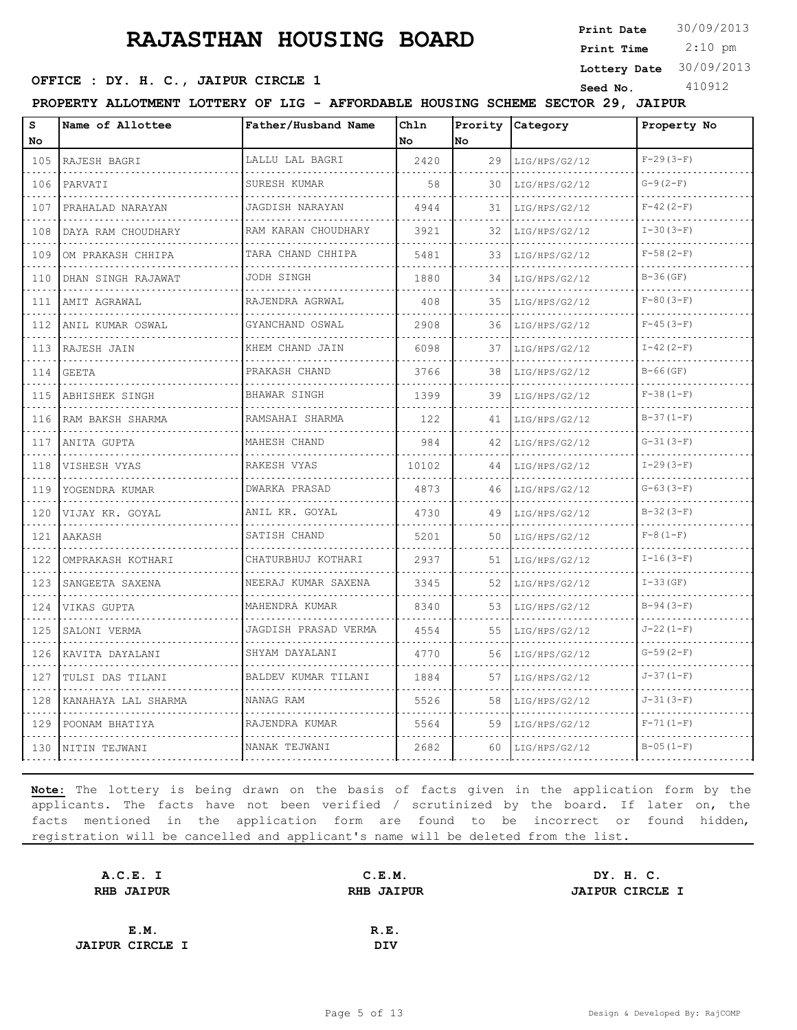**Print Date**  $30/09/2013$ 

 2:10 pm **Print Time**

#### **OFFICE : DY. H. C., JAIPUR CIRCLE 1** Seed No. 410912

**Lottery Date** 30/09/2013

**PROPERTY ALLOTMENT LOTTERY OF LIG - AFFORDABLE HOUSING SCHEME SECTOR 29, JAIPUR**

| S<br>No                            | Name of Allottee    | Father/Husband Name      | Chln<br>No | Prority<br>No | Category                  | Property No     |
|------------------------------------|---------------------|--------------------------|------------|---------------|---------------------------|-----------------|
| 105                                | RAJESH BAGRI        | LALLU LAL BAGRI          | 2420       | 29            | LIG/HPS/G2/12             | $F-29(3-F)$     |
| .<br>106                           | PARVATI             | .<br>SURESH KUMAR        | 58         | 30            | .<br>LIG/HPS/G2/12        | $G-9(2-F)$      |
| 107                                | PRAHALAD NARAYAN    | JAGDISH NARAYAN          | 4944       | 31            | LIG/HPS/G2/12             | $F-42(2-F)$     |
| 108                                | DAYA RAM CHOUDHARY  | RAM KARAN CHOUDHARY<br>. | 3921       | 32            | LIG/HPS/G2/12             | $I-30(3-F)$     |
| $\sim$ $\sim$ $\sim$ $\sim$<br>109 | OM PRAKASH CHHIPA   | TARA CHAND CHHIPA        | 5481       | 33            | LIG/HPS/G2/12             | $F-58(2-F)$     |
| 110                                | DHAN SINGH RAJAWAT  | .<br>JODH SINGH          | 1880       | 34            | LIG/HPS/G2/12             | $B-36$ (GF)     |
| 111                                | AMIT AGRAWAL<br>.   | RAJENDRA AGRWAL<br>.     | 408        | 35            | LIG/HPS/G2/12<br><u>.</u> | $F-80(3-F)$     |
| الدائد الدائد<br>112               | ANIL KUMAR OSWAL    | GYANCHAND OSWAL<br>.     | 2908       | 36            | LIG/HPS/G2/12             | $F-45(3-F)$     |
| 113                                | RAJESH JAIN         | KHEM CHAND JAIN          | 6098       | 37            | LIG/HPS/G2/12             | $I-42 (2-F)$    |
| 114                                | GEETA               | PRAKASH CHAND<br>.       | 3766       | 38            | LIG/HPS/G2/12             | $B-66$ (GF)     |
| $\sim$ $\sim$ $\sim$ $\sim$<br>115 | ABHISHEK SINGH      | BHAWAR SINGH<br>.        | 1399       | 39            | LIG/HPS/G2/12             | $F-38(1-F)$     |
| 116                                | RAM BAKSH SHARMA    | RAMSAHAI SHARMA          | 122        | 41            | LIG/HPS/G2/12             | $B-37(1-F)$     |
| 117                                | ANITA GUPTA         | MAHESH CHAND<br>.        | 984        | 42            | LIG/HPS/G2/12<br>.        | $G-31(3-F)$     |
| $\sim$ $\sim$ $\sim$ $\sim$<br>118 | VISHESH VYAS        | RAKESH VYAS              | 10102      | 44            | LIG/HPS/G2/12             | $I-29(3-F)$     |
| 119                                | YOGENDRA KUMAR      | <b>DWARKA PRASAD</b>     | 4873       | 46            | LIG/HPS/G2/12             | $G-63(3-F)$     |
| 120                                | VIJAY KR. GOYAL     | ANIL KR. GOYAL<br>.      | 4730       | 49            | LIG/HPS/G2/12             | $B-32(3-F)$     |
| $\sim$ $\sim$ $\sim$ $\sim$<br>121 | AAKASH              | SATISH CHAND             | 5201       | 50            | LIG/HPS/G2/12             | $F-8(1-F)$      |
| 122                                | OMPRAKASH KOTHARI   | CHATURBHUJ KOTHARI       | 2937       | 51            | LIG/HPS/G2/12             | $I-16(3-F)$     |
| .<br>123                           | SANGEETA SAXENA     | NEERAJ KUMAR SAXENA<br>. | 3345       | 52            | LIG/HPS/G2/12             | $I-33$ (GF)     |
| $\sim$ $\sim$ $\sim$ $\sim$<br>124 | VIKAS GUPTA         | MAHENDRA KUMAR           | 8340       | 53            | LIG/HPS/G2/12             | $B-94(3-F)$     |
| 125                                | SALONI VERMA        | JAGDISH PRASAD VERMA     | 4554       | 55            | LIG/HPS/G2/12             | $J - 22(1 - F)$ |
| 126                                | KAVITA DAYALANI     | SHYAM DAYALANI           | 4770       | 56            | LIG/HPS/G2/12             | $G-59(2-F)$     |
| $\sim 100$ km $^{-1}$<br>127       | TULSI DAS TILANI    | BALDEV KUMAR TILANI      | 1884       | 57            | LIG/HPS/G2/12             | $J-37(1-F)$     |
| 128                                | KANAHAYA LAL SHARMA | NANAG RAM                | 5526       | 58            | LIG/HPS/G2/12             | $J - 31(3 - F)$ |
| 129                                | POONAM BHATIYA      | RAJENDRA KUMAR<br>.      | 5564       | 59            | LIG/HPS/G2/12             | $F-71(1-F)$     |
| 130                                | NITIN TEJWANI       | NANAK TEJWANI            | 2682       | 60            | LIG/HPS/G2/12             | $B-05(1-F)$     |

| A.C.E. I               | C.E.M.            | DY. H. C.              |
|------------------------|-------------------|------------------------|
| <b>RHB JAIPUR</b>      | <b>RHB JAIPUR</b> | <b>JAIPUR CIRCLE I</b> |
|                        |                   |                        |
| E.M.                   | R.E.              |                        |
| <b>JAIPUR CIRCLE I</b> | <b>DIV</b>        |                        |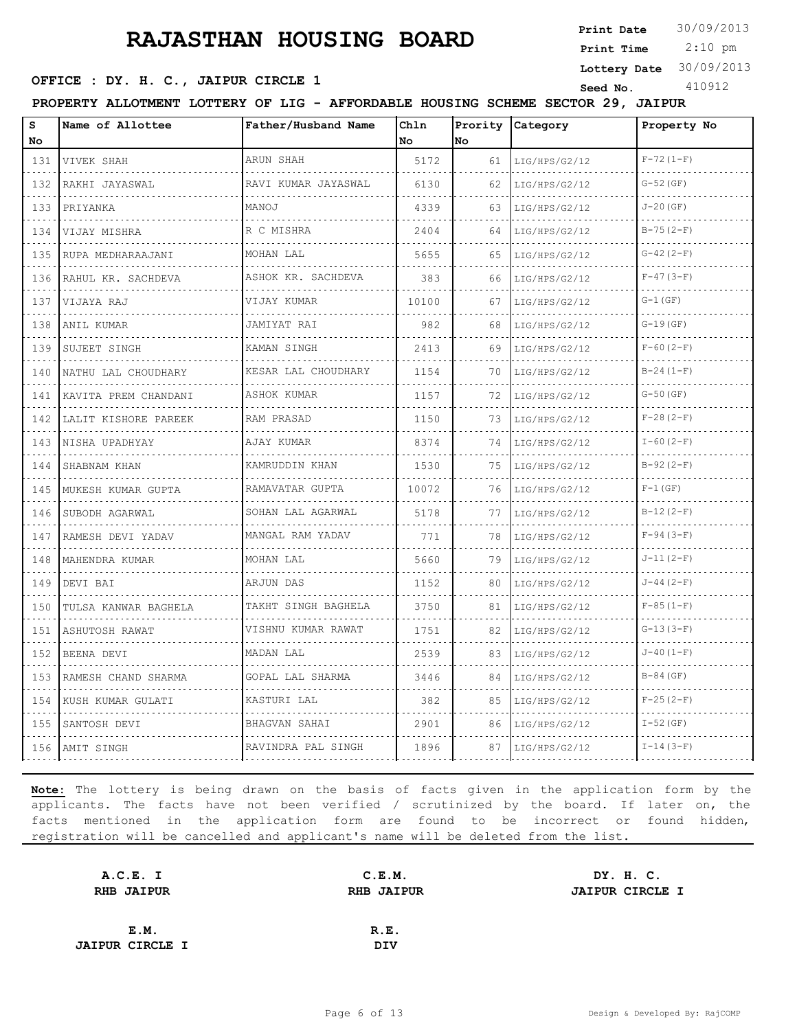**Print Date**  $30/09/2013$ 

 2:10 pm **Print Time**

#### **OFFICE : DY. H. C., JAIPUR CIRCLE 1** Seed No. 410912

**Lottery Date** 30/09/2013

**PROPERTY ALLOTMENT LOTTERY OF LIG - AFFORDABLE HOUSING SCHEME SECTOR 29, JAIPUR**

| S<br>No                            | Name of Allottee       | Father/Husband Name           | Chln<br>No | Prority<br>lno. | Category           | Property No   |
|------------------------------------|------------------------|-------------------------------|------------|-----------------|--------------------|---------------|
| 131                                | VIVEK SHAH             | ARUN SHAH                     | 5172       | 61              | LIG/HPS/G2/12      | $F-72(1-F)$   |
| .<br>132                           | .<br>RAKHI JAYASWAL    | RAVI KUMAR JAYASWAL           | 6130       | 62              | .<br>LIG/HPS/G2/12 | $G - 52$ (GF) |
| 133                                | PRIYANKA               | MANOJ                         | 4339       | 63              | LIG/HPS/G2/12      | $J - 20$ (GF) |
| 134                                | VIJAY MISHRA           | R C MISHRA                    | 2404       | 64              | LIG/HPS/G2/12      | $B-75(2-F)$   |
| 135                                | .<br>RUPA MEDHARAAJANI | MOHAN LAL                     | 5655       | 65              | LIG/HPS/G2/12      | $G-42(2-F)$   |
| 136                                | RAHUL KR. SACHDEVA     | ASHOK KR. SACHDEVA            | 383        | 66              | LIG/HPS/G2/12      | $F-47(3-F)$   |
| 137                                | VIJAYA RAJ             | VIJAY KUMAR                   | 10100      | 67              | LIG/HPS/G2/12      | $G-1(GF)$     |
| $\sim$ $\sim$ $\sim$ $\sim$<br>138 | ANIL KUMAR             | .<br>JAMIYAT RAI              | 982        | 68              | LIG/HPS/G2/12      | $G-19(GF)$    |
| 139                                | SUJEET SINGH           | KAMAN SINGH                   | 2413       | 69              | LIG/HPS/G2/12      | $F-60(2-F)$   |
| 140                                | NATHU LAL CHOUDHARY    | KESAR LAL CHOUDHARY           | 1154       | 70              | LIG/HPS/G2/12      | $B-24(1-F)$   |
| $  -$<br>141                       | KAVITA PREM CHANDANI   | ASHOK KUMAR                   | 1157       | 72              | LIG/HPS/G2/12      | $G-50$ (GF)   |
| 142                                | LALIT KISHORE PAREEK   | RAM PRASAD                    | 1150       | 73              | LIG/HPS/G2/12      | $F-28(2-F)$   |
| 143                                | NISHA UPADHYAY         | AJAY KUMAR                    | 8374       | 74              | LIG/HPS/G2/12      | $I-60 (2-F)$  |
| الدائد الدائد<br>144               | SHABNAM KHAN           | KAMRUDDIN KHAN                | 1530       | 75              | LIG/HPS/G2/12      | $B-92(2-F)$   |
| 145                                | MUKESH KUMAR GUPTA     | RAMAVATAR GUPTA               | 10072      | 76              | LIG/HPS/G2/12      | $F-1$ (GF)    |
| 146                                | SUBODH AGARWAL         | SOHAN LAL AGARWAL<br><u>.</u> | 5178       | 77              | LIG/HPS/G2/12      | $B-12(2-F)$   |
| .<br>147                           | RAMESH DEVI YADAV      | MANGAL RAM YADAV              | 771        | 78              | LIG/HPS/G2/12      | $F-94(3-F)$   |
| 148                                | MAHENDRA KUMAR         | MOHAN LAL                     | 5660       | 79              | LIG/HPS/G2/12      | $J-11(2-F)$   |
| 149                                | DEVI BAI               | ARJUN DAS                     | 1152       | 80              | LIG/HPS/G2/12      | $J-44 (2-F)$  |
| .<br>150                           | TULSA KANWAR BAGHELA   | TAKHT SINGH BAGHELA           | 3750       | 81              | LIG/HPS/G2/12      | $F-85(1-F)$   |
| 151                                | ASHUTOSH RAWAT         | VISHNU KUMAR RAWAT            | 1751       | 82              | LIG/HPS/G2/12      | $G-13(3-F)$   |
| .<br>152                           | BEENA DEVI             | MADAN LAL                     | 2539       | 83              | LIG/HPS/G2/12      | $J-40(1-F)$   |
| .<br>153                           | RAMESH CHAND SHARMA    | GOPAL LAL SHARMA              | 3446       | 84              | LIG/HPS/G2/12      | $B-84$ (GF)   |
| 154                                | KUSH KUMAR GULATI      | KASTURI LAL                   | 382        | 85              | LIG/HPS/G2/12      | $F-25(2-F)$   |
| 155                                | SANTOSH DEVI           | BHAGVAN SAHAI                 | 2901       | 86              | LIG/HPS/G2/12      | $I-52$ (GF)   |
|                                    | 156 AMIT SINGH         | RAVINDRA PAL SINGH            | 1896       | 87              | LIG/HPS/G2/12      | $I-14(3-F)$   |

| A.C.E. I               | C.E.M.            | DY. H. C.              |  |
|------------------------|-------------------|------------------------|--|
| <b>RHB JAIPUR</b>      | <b>RHB JAIPUR</b> | <b>JAIPUR CIRCLE I</b> |  |
|                        |                   |                        |  |
| E.M.                   | R.E.              |                        |  |
| <b>JAIPUR CIRCLE I</b> | DIV               |                        |  |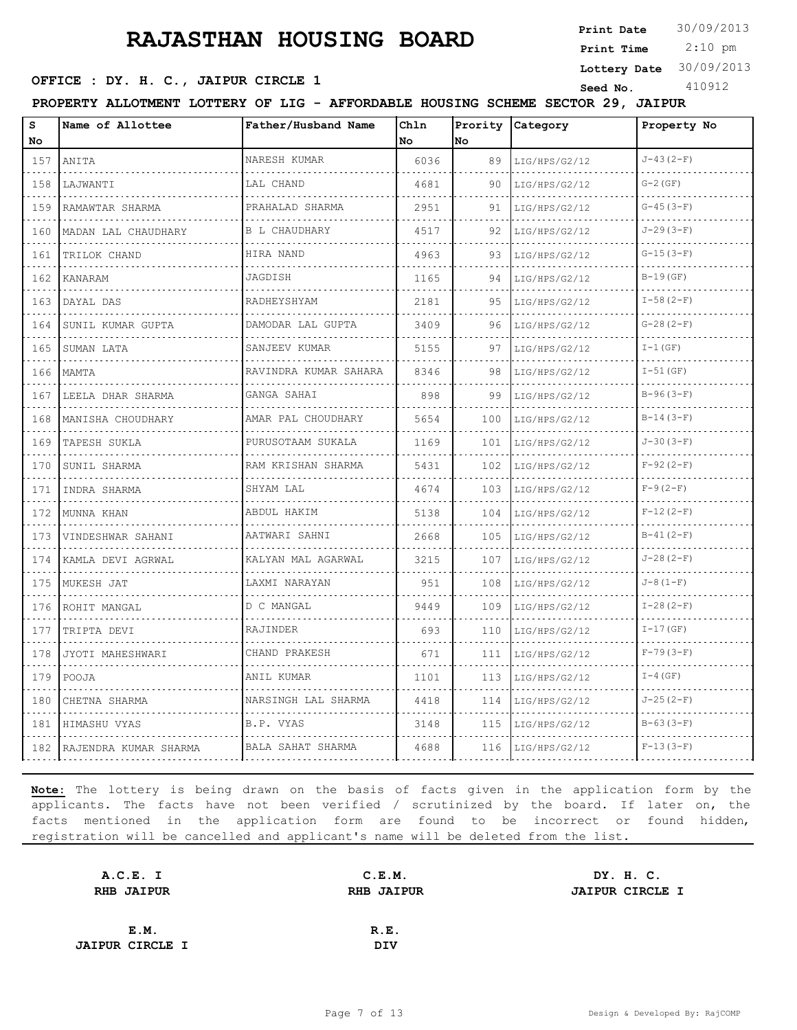**Print Date**  $30/09/2013$ 

 2:10 pm **Print Time**

**Lottery Date** 30/09/2013

#### **OFFICE : DY. H. C., JAIPUR CIRCLE 1** Seed No. 410912

**PROPERTY ALLOTMENT LOTTERY OF LIG - AFFORDABLE HOUSING SCHEME SECTOR 29, JAIPUR**

| s<br>No | Name of Allottee      | Father/Husband Name              | Ch1n<br>No. | Prority<br>No. | Category           | Property No      |
|---------|-----------------------|----------------------------------|-------------|----------------|--------------------|------------------|
| 157     | ANITA                 | NARESH KUMAR                     | 6036        | 89             | LIG/HPS/G2/12      | $J-43(2-F)$      |
| 158     | LAJWANTI              | LAL CHAND                        | 4681        | 90             | .<br>LIG/HPS/G2/12 | $G-2$ (GF)       |
| 159     | RAMAWTAR SHARMA       | PRAHALAD SHARMA                  | 2951        | 91             | LIG/HPS/G2/12      | $G-45(3-F)$      |
| 160     | MADAN LAL CHAUDHARY   | <b>B L CHAUDHARY</b>             | 4517        | 92             | LIG/HPS/G2/12      | $J - 29(3-F)$    |
| 161     | TRILOK CHAND          | HIRA NAND                        | 4963        | 93             | LIG/HPS/G2/12      | $G-15(3-F)$      |
| 162     | KANARAM               | JAGDISH                          | 1165        | 94             | LIG/HPS/G2/12      | $B-19$ (GF)      |
| 163     | DAYAL DAS             | RADHEYSHYAM                      | 2181        | 95             | LIG/HPS/G2/12      | $I-58 (2-F)$     |
| 164     | SUNIL KUMAR GUPTA     | DAMODAR LAL GUPTA                | 3409        | 96             | LIG/HPS/G2/12      | $G-28(2-F)$      |
| 165     | SUMAN LATA            | SANJEEV KUMAR                    | 5155        | 97             | LIG/HPS/G2/12      | $I-1(GF)$        |
| 166     | MAMTA                 | RAVINDRA KUMAR SAHARA            | 8346        | 98             | LIG/HPS/G2/12      | $I-51$ (GF)      |
| 167     | LEELA DHAR SHARMA     | GANGA SAHAI                      | 898         | 99             | LIG/HPS/G2/12      | $B-96(3-F)$      |
| 168     | MANISHA CHOUDHARY     | AMAR PAL CHOUDHARY               | 5654        | 100            | LIG/HPS/G2/12      | $B-14(3-F)$      |
| 169     | TAPESH SUKLA          | PURUSOTAAM SUKALA                | 1169        | 101            | LIG/HPS/G2/12      | $J-30(3-F)$      |
| 170     | SUNIL SHARMA          | RAM KRISHAN SHARMA               | 5431        | 102            | LIG/HPS/G2/12      | $F-92(2-F)$      |
| 171     | INDRA SHARMA          | SHYAM LAL                        | 4674        | 103            | LIG/HPS/G2/12      | $F-9(2-F)$       |
| 172     | MUNNA KHAN            | ABDUL HAKIM<br>dia dia dia dia 4 | 5138        | 104            | LIG/HPS/G2/12      | $F-12(2-F)$      |
| 173     | VINDESHWAR SAHANI     | AATWARI SAHNI                    | 2668        | 105            | LIG/HPS/G2/12      | $B-41(2-F)$      |
| 174     | KAMLA DEVI AGRWAL     | KALYAN MAL AGARWAL               | 3215        | 107            | LIG/HPS/G2/12      | $J - 28 (2 - F)$ |
| 175     | MUKESH JAT            | LAXMI NARAYAN<br>.               | 951         | 108            | LIG/HPS/G2/12      | $J-8(1-F)$       |
| 176     | ROHIT MANGAL          | D C MANGAL                       | 9449        | 109            | LIG/HPS/G2/12      | $I-28(2-F)$      |
| 177     | TRIPTA DEVI           | RAJINDER                         | 693         | 110            | LIG/HPS/G2/12      | $I-17(GF)$       |
| 178     | JYOTI MAHESHWARI      | CHAND PRAKESH                    | 671         | 111            | LIG/HPS/G2/12      | $F-79(3-F)$      |
| 179     | POOJA                 | ANIL KUMAR                       | 1101        | 113            | LIG/HPS/G2/12      | $I-4$ (GF)       |
| 180     | CHETNA SHARMA         | NARSINGH LAL SHARMA              | 4418        | 114            | LIG/HPS/G2/12      | $J - 25(2-F)$    |
| 181     | HIMASHU VYAS          | B.P. VYAS                        | 3148        | 115            | LIG/HPS/G2/12      | $B-63(3-F)$      |
| 182     | RAJENDRA KUMAR SHARMA | BALA SAHAT SHARMA                | 4688        | 116            | LIG/HPS/G2/12      | $F-13(3-F)$      |

| A.C.E. I               | C.E.M.            | DY. H. C.              |
|------------------------|-------------------|------------------------|
| <b>RHB JAIPUR</b>      | <b>RHB JAIPUR</b> | <b>JAIPUR CIRCLE I</b> |
|                        |                   |                        |
| E.M.                   | R.E.              |                        |
| <b>JAIPUR CIRCLE I</b> | <b>DIV</b>        |                        |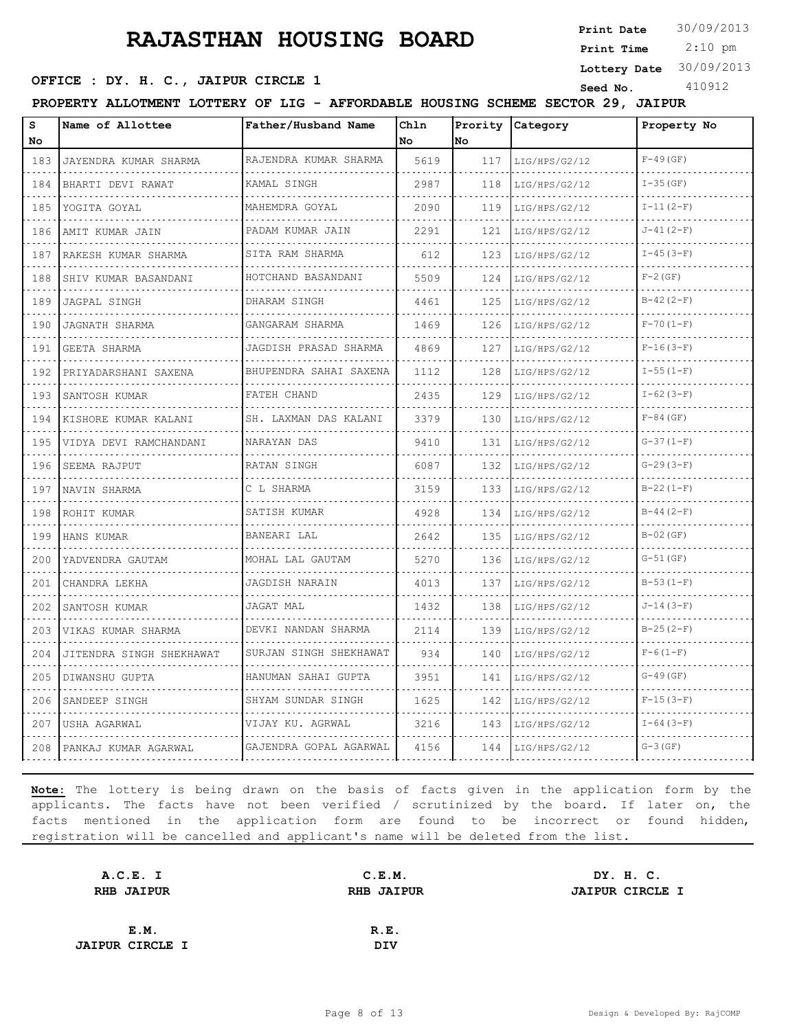**Print Date**  $30/09/2013$ 

 2:10 pm **Print Time**

**Lottery Date** 30/09/2013

#### **OFFICE : DY. H. C., JAIPUR CIRCLE 1** Seed No. 410912

**PROPERTY ALLOTMENT LOTTERY OF LIG - AFFORDABLE HOUSING SCHEME SECTOR 29, JAIPUR**

| s<br>No  | Name of Allottee         | Father/Husband Name      | Chln<br>No | Prority<br>lNo. | Category      | Property No   |
|----------|--------------------------|--------------------------|------------|-----------------|---------------|---------------|
| 183      | JAYENDRA KUMAR SHARMA    | RAJENDRA KUMAR SHARMA    | 5619       | 117             | LIG/HPS/G2/12 | $F-49$ (GF)   |
| 184      | BHARTI DEVI RAWAT        | KAMAL SINGH              | 2987       | 118             | LIG/HPS/G2/12 | $I-35(GF)$    |
| 185      | YOGITA GOYAL             | MAHEMDRA GOYAL           | 2090       | 119             | LIG/HPS/G2/12 | $I-11(2-F)$   |
| 186      | .<br>AMIT KUMAR JAIN     | PADAM KUMAR JAIN<br>.    | 2291       | 121             | LIG/HPS/G2/12 | $J-41(2-F)$   |
| 187      | RAKESH KUMAR SHARMA      | SITA RAM SHARMA          | 612        | 123             | LIG/HPS/G2/12 | $I-45(3-F)$   |
| 188      | SHIV KUMAR BASANDANI     | HOTCHAND BASANDANI       | 5509       | 124             | LIG/HPS/G2/12 | $F-2$ (GF)    |
| 189      | JAGPAL SINGH             | DHARAM SINGH             | 4461       | 125             | LIG/HPS/G2/12 | $B-42(2-F)$   |
| 190      | JAGNATH SHARMA           | GANGARAM SHARMA          | 1469       | 126             | LIG/HPS/G2/12 | $F - 70(1-F)$ |
| .<br>191 | <b>GEETA SHARMA</b>      | JAGDISH PRASAD SHARMA    | 4869       | 127             | LIG/HPS/G2/12 | $F-16(3-F)$   |
| 192      | PRIYADARSHANI SAXENA     | BHUPENDRA SAHAI SAXENA   | 1112       | 128             | LIG/HPS/G2/12 | $I-55(1-F)$   |
| 193      | SANTOSH KUMAR            | FATEH CHAND              | 2435       | 129             | LIG/HPS/G2/12 | $I-62(3-F)$   |
| 194      | KISHORE KUMAR KALANI     | SH. LAXMAN DAS KALANI    | 3379       | 130             | LIG/HPS/G2/12 | $F-84$ (GF)   |
| 195      | VIDYA DEVI RAMCHANDANI   | NARAYAN DAS              | 9410       | 131             | LIG/HPS/G2/12 | $G-37(1-F)$   |
| 196      | SEEMA RAJPUT             | RATAN SINGH              | 6087       | 132             | LIG/HPS/G2/12 | $G-29(3-F)$   |
| 197      | NAVIN SHARMA             | C L SHARMA               | 3159       | 133             | LIG/HPS/G2/12 | $B-22(1-F)$   |
| 198      | ROHIT KUMAR              | SATISH KUMAR             | 4928       | 134             | LIG/HPS/G2/12 | $B-44(2-F)$   |
| 199      | HANS KUMAR               | BANEARI LAL              | 2642       | 135             | LIG/HPS/G2/12 | $B-02$ (GF)   |
| 200      | YADVENDRA GAUTAM         | MOHAL LAL GAUTAM         | 5270       | 136             | LIG/HPS/G2/12 | $G-51(GF)$    |
| 201      | CHANDRA LEKHA            | JAGDISH NARAIN           | 4013       | 137             | LIG/HPS/G2/12 | $B-53(1-F)$   |
| 202      | SANTOSH KUMAR            | JAGAT MAL                | 1432       | 138             | LIG/HPS/G2/12 | $J-14(3-F)$   |
| 203      | VIKAS KUMAR SHARMA       | DEVKI NANDAN SHARMA<br>. | 2114       | 139             | LIG/HPS/G2/12 | $B-25(2-F)$   |
| 204      | JITENDRA SINGH SHEKHAWAT | SURJAN SINGH SHEKHAWAT   | 934        | 140             | LIG/HPS/G2/12 | $F-6(1-F)$    |
| 205      | DIWANSHU GUPTA           | HANUMAN SAHAI GUPTA      | 3951       | 141             | LIG/HPS/G2/12 | $G-49(GF)$    |
| 206      | SANDEEP SINGH            | SHYAM SUNDAR SINGH       | 1625       | 142             | LIG/HPS/G2/12 | $F-15(3-F)$   |
| 207      | USHA AGARWAL             | VIJAY KU. AGRWAL         | 3216       | 143             | LIG/HPS/G2/12 | $I-64 (3-F)$  |
| 208      | PANKAJ KUMAR AGARWAL     | GAJENDRA GOPAL AGARWAL   | 4156       | 144             | LIG/HPS/G2/12 | $G-3(GF)$     |

| A.C.E. I               | C.E.M.            | DY. H. C.              |  |
|------------------------|-------------------|------------------------|--|
| <b>RHB JAIPUR</b>      | <b>RHB JAIPUR</b> | <b>JAIPUR CIRCLE I</b> |  |
|                        |                   |                        |  |
| E.M.                   | R.E.              |                        |  |
| <b>JAIPUR CIRCLE I</b> | DIV               |                        |  |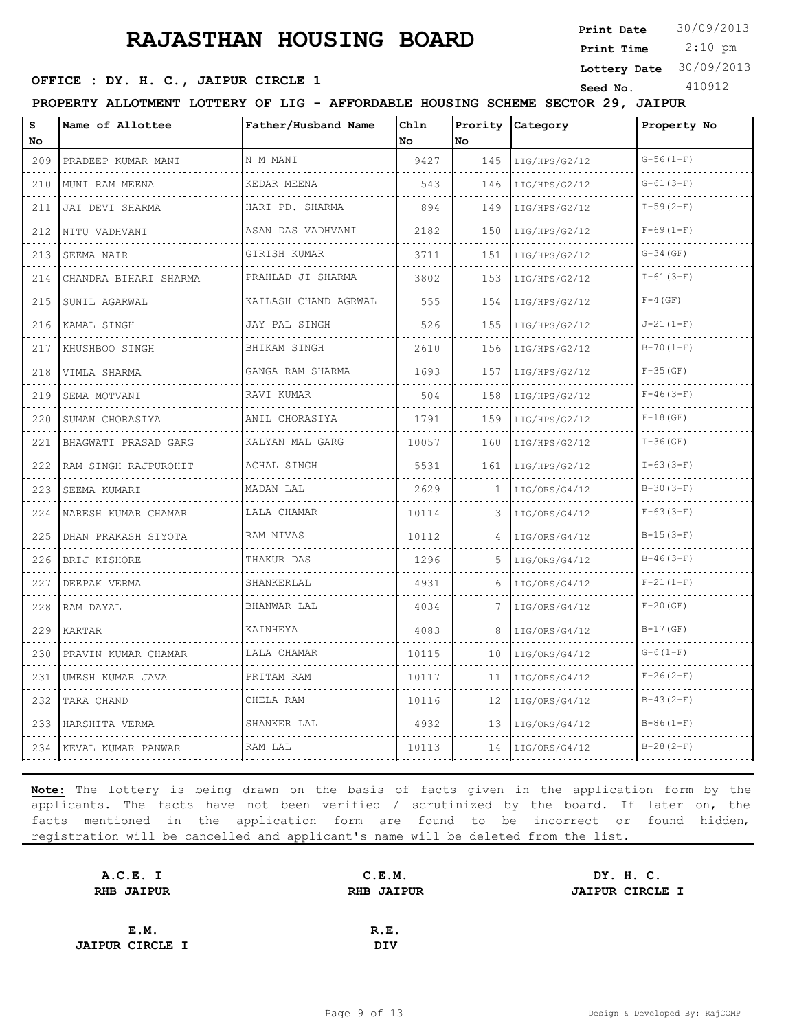**Print Date**  $30/09/2013$ 

 2:10 pm **Print Time**

**OFFICE : DY. H. C., JAIPUR CIRCLE 1** Seed No. 410912

**Lottery Date** 30/09/2013

**PROPERTY ALLOTMENT LOTTERY OF LIG - AFFORDABLE HOUSING SCHEME SECTOR 29, JAIPUR**

| S<br>No.                           | Name of Allottee       | Father/Husband Name    | Chln<br>No | No  | Prority Category | Property No     |
|------------------------------------|------------------------|------------------------|------------|-----|------------------|-----------------|
| 209                                | PRADEEP KUMAR MANI     | N M MANI               | 9427       | 145 | LIG/HPS/G2/12    | $G-56(1-F)$     |
| .<br>210                           | MUNI RAM MEENA         | KEDAR MEENA            | 543        | 146 | LIG/HPS/G2/12    | $G-61(3-F)$     |
| 211                                | JAI DEVI SHARMA        | HARI PD. SHARMA        | 894        | 149 | LIG/HPS/G2/12    | $I-59(2-F)$     |
| 212                                | NITU VADHVANI          | ASAN DAS VADHVANI<br>. | 2182       | 150 | LIG/HPS/G2/12    | $F-69(1-F)$     |
| .<br>213                           | SEEMA NAIR             | GIRISH KUMAR           | 3711       | 151 | LIG/HPS/G2/12    | $G-34$ (GF)     |
| 214                                | CHANDRA BIHARI SHARMA  | PRAHLAD JI SHARMA      | 3802       | 153 | LIG/HPS/G2/12    | $I-61(3-F)$     |
| 215                                | SUNIL AGARWAL          | KAILASH CHAND AGRWAL   | 555        | 154 | LIG/HPS/G2/12    | $F-4$ (GF)      |
| د د د د<br>216                     | KAMAL SINGH            | JAY PAL SINGH          | 526        | 155 | LIG/HPS/G2/12    | $J - 21(1 - F)$ |
| 217                                | KHUSHBOO SINGH         | BHIKAM SINGH           | 2610       | 156 | LIG/HPS/G2/12    | $B-70(1-F)$     |
| 218<br>.                           | VIMLA SHARMA           | GANGA RAM SHARMA       | 1693       | 157 | LIG/HPS/G2/12    | $F-35(GF)$      |
| 219                                | SEMA MOTVANI           | RAVI KUMAR             | 504        | 158 | LIG/HPS/G2/12    | $F-46(3-F)$     |
| 220<br>$\sim$ $\sim$ $\sim$ $\sim$ | SUMAN CHORASIYA        | ANIL CHORASIYA         | 1791       | 159 | LIG/HPS/G2/12    | $F-18$ (GF)     |
| 221<br>$\sim$ $\sim$ $\sim$ $\sim$ | BHAGWATI PRASAD GARG   | KALYAN MAL GARG        | 10057      | 160 | LIG/HPS/G2/12    | $I-36$ (GF)     |
| 222                                | RAM SINGH RAJPUROHIT   | ACHAL SINGH            | 5531       | 161 | LIG/HPS/G2/12    | $I-63(3-F)$     |
| 223                                | SEEMA KUMARI           | MADAN LAL              | 2629       | 1   | LIG/ORS/G4/12    | $B-30(3-F)$     |
| 224<br>.                           | NARESH KUMAR CHAMAR    | LALA CHAMAR            | 10114      | 3   | LIG/ORS/G4/12    | $F-63(3-F)$     |
| 225                                | DHAN PRAKASH SIYOTA    | RAM NIVAS              | 10112      |     | LIG/ORS/G4/12    | $B-15(3-F)$     |
| 226                                | BRIJ KISHORE           | THAKUR DAS             | 1296       | 5   | LIG/ORS/G4/12    | $B-46(3-F)$     |
| 227<br><b>Service</b>              | DEEPAK VERMA           | SHANKERLAL             | 4931       | 6   | LIG/ORS/G4/12    | $F-21(1-F)$     |
| 228                                | RAM DAYAL              | BHANWAR LAL            | 4034       |     | LIG/ORS/G4/12    | $F-20$ (GF)     |
| 229                                | KARTAR                 | KAINHEYA               | 4083       | 8   | LIG/ORS/G4/12    | $B-17(GF)$      |
| 230                                | PRAVIN KUMAR CHAMAR    | LALA CHAMAR            | 10115      | 10  | LIG/ORS/G4/12    | $G-6(1-F)$      |
| $\sim$ $\sim$ $\sim$ $\sim$<br>231 | UMESH KUMAR JAVA       | PRITAM RAM             | 10117      | 11  | LIG/ORS/G4/12    | $F-26(2-F)$     |
| 232                                | TARA CHAND             | CHELA RAM              | 10116      | 12  | LIG/ORS/G4/12    | $B-43(2-F)$     |
| 233                                | HARSHITA VERMA         | SHANKER LAL            | 4932       | 13  | LIG/ORS/G4/12    | $B-86(1-F)$     |
|                                    | 234 KEVAL KUMAR PANWAR | RAM LAL                | 10113      | 14  | LIG/ORS/G4/12    | $B-28(2-F)$     |

| A.C.E. I               | C.E.M.            | DY. H. C.              |
|------------------------|-------------------|------------------------|
| <b>RHB JAIPUR</b>      | <b>RHB JAIPUR</b> | <b>JAIPUR CIRCLE I</b> |
|                        |                   |                        |
| E.M.                   | R.E.              |                        |
| <b>JAIPUR CIRCLE I</b> | DIV               |                        |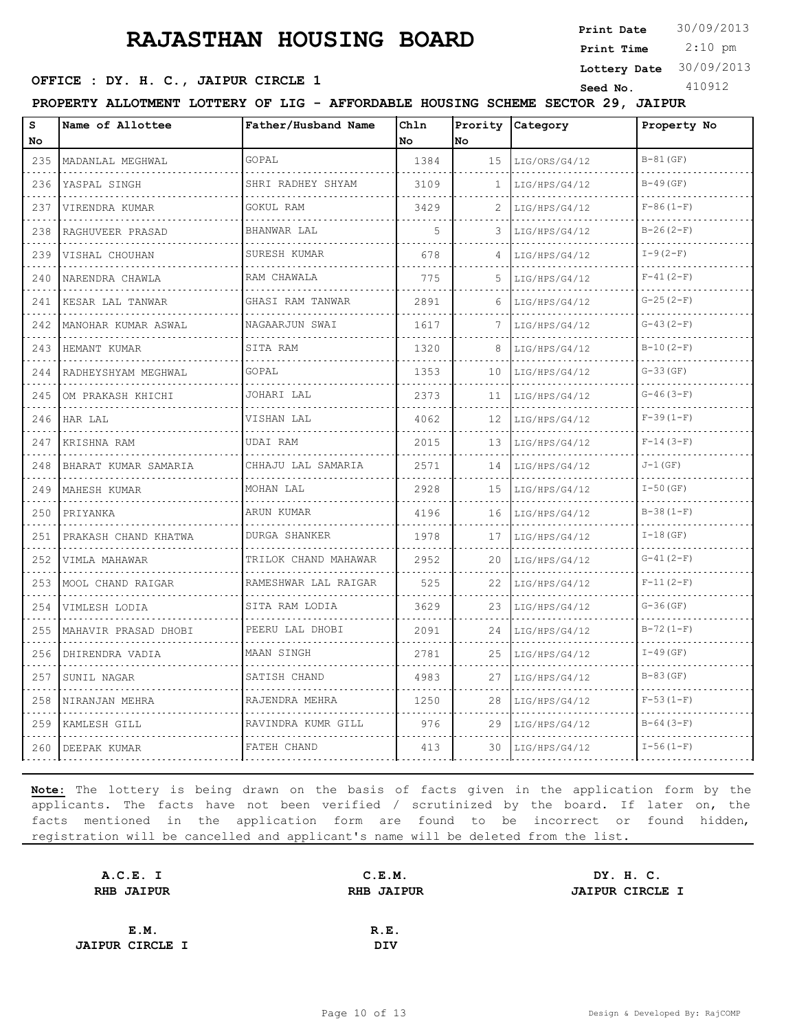**Print Date**  $30/09/2013$ 

 2:10 pm **Print Time**

#### **Lottery Date** 30/09/2013

#### **OFFICE : DY. H. C., JAIPUR CIRCLE 1** Seed No. 410912

**PROPERTY ALLOTMENT LOTTERY OF LIG - AFFORDABLE HOUSING SCHEME SECTOR 29, JAIPUR**

| s<br>No                            | Name of Allottee         | Father/Husband Name  | Chln<br>l No | Prority<br>No | Category      | Property No   |
|------------------------------------|--------------------------|----------------------|--------------|---------------|---------------|---------------|
| 235                                | MADANLAL MEGHWAL         | GOPAL                | 1384         | 15            | LIG/ORS/G4/12 | $B-81$ (GF)   |
| 236                                | YASPAL SINGH             | SHRI RADHEY SHYAM    | 3109         | 1             | LIG/HPS/G4/12 | $B-49$ (GF)   |
| 237                                | VIRENDRA KUMAR           | GOKUL RAM            | 3429         |               | LIG/HPS/G4/12 | $F-86(1-F)$   |
| 238                                | RAGHUVEER PRASAD         | BHANWAR LAL          | 5            | 3             | LIG/HPS/G4/12 | $B-26(2-F)$   |
| $\sim$ $\sim$ $\sim$ $\sim$<br>239 | VISHAL CHOUHAN           | SURESH KUMAR         | 678          | 4             | LIG/HPS/G4/12 | $I-9(2-F)$    |
| 240                                | .<br>NARENDRA CHAWLA     | RAM CHAWALA          | 775          | 5             | LIG/HPS/G4/12 | $F-41(2-F)$   |
| 241                                | KESAR LAL TANWAR         | GHASI RAM TANWAR     | 2891         | 6             | LIG/HPS/G4/12 | $G-25(2-F)$   |
| $\sim$ $\sim$ $\sim$ $\sim$<br>242 | .<br>MANOHAR KUMAR ASWAL | .<br>NAGAARJUN SWAI  | 1617         | 7             | LIG/HPS/G4/12 | $G-43(2-F)$   |
| 243                                | HEMANT KUMAR             | SITA RAM             | 1320         | 8             | LIG/HPS/G4/12 | $B-10(2-F)$   |
| 244                                | RADHEYSHYAM MEGHWAL      | GOPAL                | 1353         | 10            | LIG/HPS/G4/12 | $G-33(GF)$    |
| $\sim$ $\sim$ $\sim$ $\sim$<br>245 | OM PRAKASH KHICHI        | JOHARI LAL           | 2373         | 11            | LIG/HPS/G4/12 | $G-46(3-F)$   |
| 246                                | HAR LAL                  | VISHAN LAL           | 4062         | 12            | LIG/HPS/G4/12 | $F-39(1-F)$   |
| 247                                | KRISHNA RAM              | UDAI RAM             | 2015         | 13            | LIG/HPS/G4/12 | $F-14(3-F)$   |
| 248                                | BHARAT KUMAR SAMARIA     | CHHAJU LAL SAMARIA   | 2571         | 14            | LIG/HPS/G4/12 | $J-1(GF)$     |
| 249                                | MAHESH KUMAR             | MOHAN LAL            | 2928         | 15            | LIG/HPS/G4/12 | $I - 50$ (GF) |
| 250                                | PRIYANKA                 | ARUN KUMAR           | 4196         | 16            | LIG/HPS/G4/12 | $B-38(1-F)$   |
| 251                                | PRAKASH CHAND KHATWA     | DURGA SHANKER        | 1978         | 17            | LIG/HPS/G4/12 | $I-18(GF)$    |
| 252                                | VIMLA MAHAWAR            | TRILOK CHAND MAHAWAR | 2952         | 20            | LIG/HPS/G4/12 | $G-41(2-F)$   |
| 253                                | MOOL CHAND RAIGAR        | RAMESHWAR LAL RAIGAR | 525          | 22            | LIG/HPS/G4/12 | $F-11(2-F)$   |
| .<br>254                           | VIMLESH LODIA            | .<br>SITA RAM LODIA  | 3629         | 23            | LIG/HPS/G4/12 | $G-36$ (GF)   |
| 255                                | MAHAVIR PRASAD DHOBI     | PEERU LAL DHOBI      | 2091         | 24            | LIG/HPS/G4/12 | $B-72(1-F)$   |
| 256                                | DHIRENDRA VADIA          | MAAN SINGH           | 2781         | 25            | LIG/HPS/G4/12 | $I-49$ (GF)   |
| .<br>257                           | SUNIL NAGAR              | SATISH CHAND         | 4983         | 27            | LIG/HPS/G4/12 | $B-83$ (GF)   |
| 258                                | NIRANJAN MEHRA           | RAJENDRA MEHRA       | 1250         | 28            | LIG/HPS/G4/12 | $F-53(1-F)$   |
| 259                                | KAMLESH GILL             | RAVINDRA KUMR GILL   | 976          | 29            | LIG/HPS/G4/12 | $B-64(3-F)$   |
| 260                                | DEEPAK KUMAR             | FATEH CHAND          | 413          | 30.           | LIG/HPS/G4/12 | $I-56(1-F)$   |

| A.C.E. I               | C.E.M.            | DY. H. C.              |
|------------------------|-------------------|------------------------|
| <b>RHB JAIPUR</b>      | <b>RHB JAIPUR</b> | <b>JAIPUR CIRCLE I</b> |
|                        |                   |                        |
| E.M.                   | R.E.              |                        |
| <b>JAIPUR CIRCLE I</b> | DIV               |                        |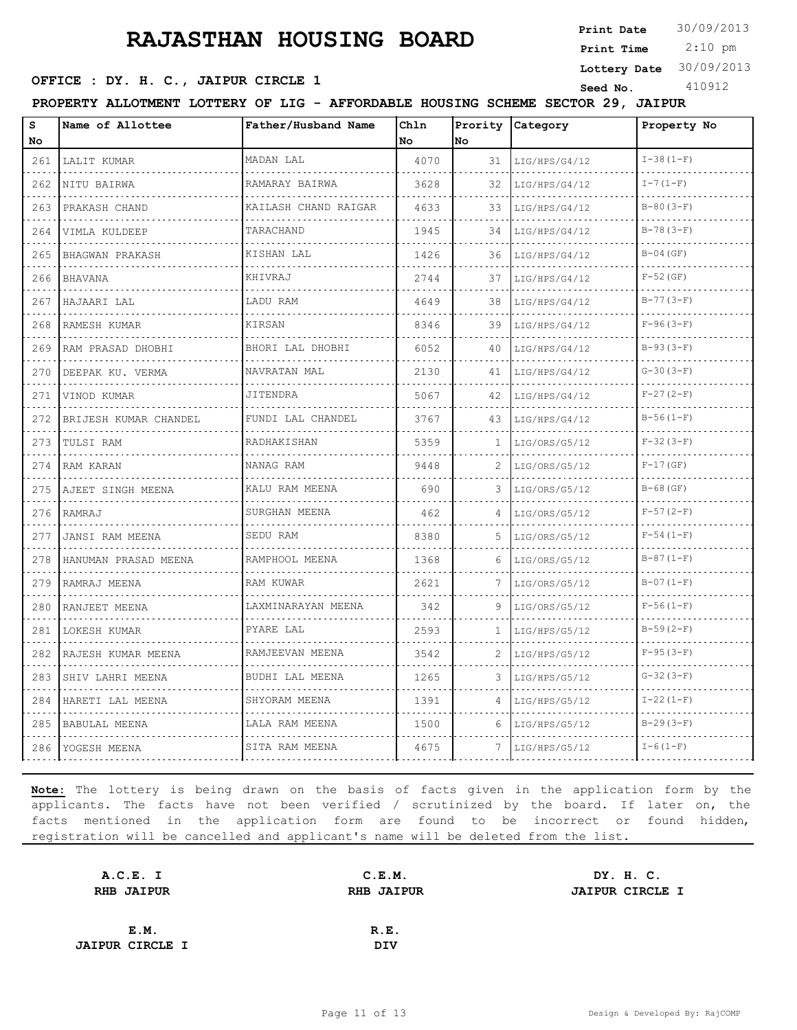**Print Date**  $30/09/2013$ 

 2:10 pm **Print Time**

**OFFICE : DY. H. C., JAIPUR CIRCLE 1** Seed No. 410912

**Lottery Date** 30/09/2013

**PROPERTY ALLOTMENT LOTTERY OF LIG - AFFORDABLE HOUSING SCHEME SECTOR 29, JAIPUR**

| S<br>No                                                                                                                          | Name of Allottee      | Father/Husband Name    | Chln<br>No | Prority<br>No | Category           | Property No    |
|----------------------------------------------------------------------------------------------------------------------------------|-----------------------|------------------------|------------|---------------|--------------------|----------------|
| 261                                                                                                                              | LALIT KUMAR           | MADAN LAL              | 4070       | 31            | LIG/HPS/G4/12<br>. | $I-38(1-F)$    |
| 262                                                                                                                              | NITU BAIRWA           | RAMARAY BAIRWA         | 3628       | 32            | LIG/HPS/G4/12      | $I - 7(1-F)$   |
| 263                                                                                                                              | PRAKASH CHAND         | KAILASH CHAND RAIGAR   | 4633       | 33            | LIG/HPS/G4/12      | $B-80(3-F)$    |
| 264                                                                                                                              | VIMLA KULDEEP<br>.    | TARACHAND<br>1.1.1.1.1 | 1945       | 34            | LIG/HPS/G4/12      | $B-78(3-F)$    |
| $\frac{1}{2} \left( \frac{1}{2} \right) \left( \frac{1}{2} \right) \left( \frac{1}{2} \right) \left( \frac{1}{2} \right)$<br>265 | BHAGWAN PRAKASH       | KISHAN LAL             | 1426       | 36            | LIG/HPS/G4/12      | $B-04$ (GF)    |
| 266                                                                                                                              | <b>BHAVANA</b>        | KHIVRAJ                | 2744       | 37            | LIG/HPS/G4/12      | $F-52$ (GF)    |
| 267                                                                                                                              | HAJAARI LAL           | LADU RAM               | 4649       | 38            | LIG/HPS/G4/12      | $B-77(3-F)$    |
| الداعات الداعا<br>268                                                                                                            | RAMESH KUMAR          | KIRSAN                 | 8346       | 39            | LIG/HPS/G4/12      | $F-96(3-F)$    |
| 269<br>$-2.5 - 1.5$                                                                                                              | RAM PRASAD DHOBHI     | BHORI LAL DHOBHI       | 6052       | 40            | LIG/HPS/G4/12      | $B-93(3-F)$    |
| 270                                                                                                                              | DEEPAK KU. VERMA      | NAVRATAN MAL<br>.      | 2130       | 41            | LIG/HPS/G4/12      | $G-30(3-F)$    |
| .<br>271                                                                                                                         | VINOD KUMAR           | JITENDRA               | 5067       | 42            | LIG/HPS/G4/12      | $F-27(2-F)$    |
| 272                                                                                                                              | BRIJESH KUMAR CHANDEL | FUNDI LAL CHANDEL      | 3767       | 43            | LIG/HPS/G4/12      | $B-56(1-F)$    |
| 273                                                                                                                              | TULSI RAM             | RADHAKISHAN            | 5359       | 1.            | LIG/ORS/G5/12      | $F-32(3-F)$    |
| .<br>274                                                                                                                         | RAM KARAN             | NANAG RAM              | 9448       | 2             | LIG/ORS/G5/12      | $F-17(GF)$     |
| 275                                                                                                                              | AJEET SINGH MEENA     | KALU RAM MEENA         | 690        | 3             | LIG/ORS/G5/12      | $B-68$ (GF)    |
| $\omega$ , $\omega$ , $\omega$<br>276                                                                                            | RAMRAJ                | SURGHAN MEENA          | 462        | 4             | LIG/ORS/G5/12      | $F-57(2-F)$    |
| .<br>277                                                                                                                         | JANSI RAM MEENA       | SEDU RAM               | 8380       | 5             | LIG/ORS/G5/12      | $F-54(1-F)$    |
| 278                                                                                                                              | HANUMAN PRASAD MEENA  | RAMPHOOL MEENA         | 1368       | 6             | LIG/ORS/G5/12      | $B-87(1-F)$    |
| 279                                                                                                                              | RAMRAJ MEENA          | RAM KUWAR              | 2621       | 7             | LIG/ORS/G5/12      | $B-07(1-F)$    |
| 280                                                                                                                              | RANJEET MEENA         | LAXMINARAYAN MEENA     | 342        | 9             | LIG/ORS/G5/12      | $F-56(1-F)$    |
| $   -$<br>281                                                                                                                    | LOKESH KUMAR          | PYARE LAL              | 2593       | 1.            | LIG/HPS/G5/12      | $B-59(2-F)$    |
| 282                                                                                                                              | RAJESH KUMAR MEENA    | RAMJEEVAN MEENA        | 3542       | 2             | LIG/HPS/G5/12      | $F-95(3-F)$    |
| 283                                                                                                                              | SHIV LAHRI MEENA      | BUDHI LAL MEENA        | 1265       | 3             | LIG/HPS/G5/12      | $G-32(3-F)$    |
| 284                                                                                                                              | HARETI LAL MEENA      | SHYORAM MEENA          | 1391       | 4             | LIG/HPS/G5/12      | $I-22(1-F)$    |
| 285                                                                                                                              | BABULAL MEENA         | LALA RAM MEENA         | 1500       | 6             | LIG/HPS/G5/12      | $B-29(3-F)$    |
| 286                                                                                                                              | YOGESH MEENA          | SITA RAM MEENA         | 4675       | 7             | LIG/HPS/G5/12      | $I - 6(1 - F)$ |

| A.C.E. I               | C.E.M.            | DY. H. C.              |
|------------------------|-------------------|------------------------|
| <b>RHB JAIPUR</b>      | <b>RHB JAIPUR</b> | <b>JAIPUR CIRCLE I</b> |
|                        |                   |                        |
| E.M.                   | R.E.              |                        |
| <b>JAIPUR CIRCLE I</b> | DIV               |                        |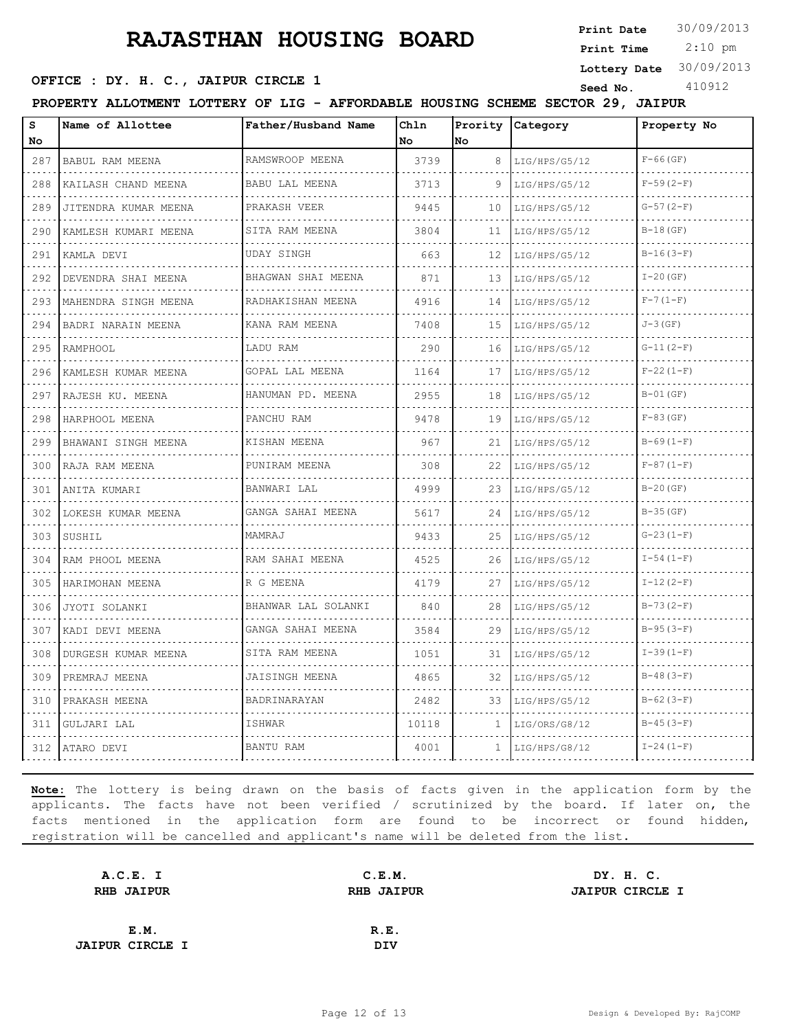**Print Date**  $30/09/2013$ 

 2:10 pm **Print Time**

**Lottery Date** 30/09/2013

#### **OFFICE : DY. H. C., JAIPUR CIRCLE 1** Seed No. 410912

| Name of Allottee<br>Father/Husband Name<br>Chln<br>Prority Category<br>Property No<br>No<br>No.<br>RAMSWROOP MEENA<br>$F-66$ (GF)<br>3739<br>287<br><b>BABUL RAM MEENA</b><br>8<br>LIG/HPS/G5/12<br>.<br>$F-59(2-F)$<br>KAILASH CHAND MEENA<br>BABU LAL MEENA<br>3713<br>9<br>288<br>LIG/HPS/G5/12<br>$G-57(2-F)$<br>PRAKASH VEER<br>9445<br>289<br>10<br>JITENDRA KUMAR MEENA<br>LIG/HPS/G5/12<br>SITA RAM MEENA<br>$B-18$ (GF)<br>3804<br>290<br>11<br>LIG/HPS/G5/12<br>KAMLESH KUMARI MEENA<br>$B-16(3-F)$<br>UDAY SINGH<br>663<br>12<br>291<br>LIG/HPS/G5/12<br>KAMLA DEVI<br>.<br>BHAGWAN SHAI MEENA<br>$I-20$ (GF)<br>871<br>292<br>DEVENDRA SHAI MEENA<br>13<br>LIG/HPS/G5/12<br>$F - 7(1 - F)$<br>RADHAKISHAN MEENA<br>4916<br>293<br>MAHENDRA SINGH MEENA<br>14<br>LIG/HPS/G5/12<br>$J-3$ (GF)<br>KANA RAM MEENA<br>7408<br>294<br>BADRI NARAIN MEENA<br>15<br>LIG/HPS/G5/12<br>.<br>LADU RAM<br>$G-11(2-F)$<br>295<br>RAMPHOOL<br>290<br>16<br>LIG/HPS/G5/12<br>GOPAL LAL MEENA<br>$F-22(1-F)$<br>KAMLESH KUMAR MEENA<br>1164<br>296<br>17<br>LIG/HPS/G5/12<br>$B-01$ (GF)<br>HANUMAN PD. MEENA<br>2955<br>18<br>297<br>RAJESH KU. MEENA<br>LIG/HPS/G5/12<br>$F-83$ (GF)<br>PANCHU RAM<br>9478<br>19<br>298<br>HARPHOOL MEENA<br>LIG/HPS/G5/12<br>$B-69(1-F)$<br>KISHAN MEENA<br>967<br>299<br>21<br>BHAWANI SINGH MEENA<br>LIG/HPS/G5/12<br>$F-87(1-F)$<br>PUNIRAM MEENA<br>308<br>22<br>300<br>RAJA RAM MEENA<br>LIG/HPS/G5/12<br>$B-20$ (GF)<br>BANWARI LAL<br>4999<br>23<br>301<br>ANITA KUMARI<br>LIG/HPS/G5/12<br>$B-35$ (GF)<br>GANGA SAHAI MEENA<br>LOKESH KUMAR MEENA<br>5617<br>24<br>302<br>LIG/HPS/G5/12<br>MAMRAJ<br>$G-23(1-F)$<br>303<br>SUSHIL<br>9433<br>25<br>LIG/HPS/G5/12<br>RAM SAHAI MEENA<br>4525<br>$I - 54(1 - F)$<br>304<br>RAM PHOOL MEENA<br>26<br>LIG/HPS/G5/12<br>R G MEENA<br>$I-12(2-F)$<br>4179<br>27<br>LIG/HPS/G5/12<br>305<br>HARIMOHAN MEENA<br>$B-73(2-F)$<br>BHANWAR LAL SOLANKI<br>840<br>28<br>306<br>JYOTI SOLANKI<br>LIG/HPS/G5/12<br>.<br>$B-95(3-F)$<br>GANGA SAHAI MEENA<br>3584<br>307<br>KADI DEVI MEENA<br>29<br>LIG/HPS/G5/12<br>$I-39(1-F)$<br>308<br>DURGESH KUMAR MEENA<br>SITA RAM MEENA<br>1051<br>LIG/HPS/G5/12<br>31<br>$B-48(3-F)$<br>JAISINGH MEENA<br>4865<br>309<br>32<br>PREMRAJ MEENA<br>LIG/HPS/G5/12<br>$B-62(3-F)$<br>BADRINARAYAN<br>2482<br>310<br>PRAKASH MEENA<br>33<br>LIG/HPS/G5/12<br>ISHWAR<br>10118<br>$B-45(3-F)$<br>GULJARI LAL<br>LIG/ORS/G8/12<br>311<br>$\mathbf{1}$<br>$I - 24 (1 - F)$<br>BANTU RAM<br>4001<br>312<br>ATARO DEVI<br>LIG/HPS/G8/12 |         | PROPERTY ALLOTMENT LOTTERY OF LIG - AFFORDABLE HOUSING SCHEME SECTOR 29, JAIPUR |  |  |  |
|-----------------------------------------------------------------------------------------------------------------------------------------------------------------------------------------------------------------------------------------------------------------------------------------------------------------------------------------------------------------------------------------------------------------------------------------------------------------------------------------------------------------------------------------------------------------------------------------------------------------------------------------------------------------------------------------------------------------------------------------------------------------------------------------------------------------------------------------------------------------------------------------------------------------------------------------------------------------------------------------------------------------------------------------------------------------------------------------------------------------------------------------------------------------------------------------------------------------------------------------------------------------------------------------------------------------------------------------------------------------------------------------------------------------------------------------------------------------------------------------------------------------------------------------------------------------------------------------------------------------------------------------------------------------------------------------------------------------------------------------------------------------------------------------------------------------------------------------------------------------------------------------------------------------------------------------------------------------------------------------------------------------------------------------------------------------------------------------------------------------------------------------------------------------------------------------------------------------------------------------------------------------------------------------------------------------------------------------------------------------------------------------------------------------------------------------------------------------------------------------------------------------------------------------------|---------|---------------------------------------------------------------------------------|--|--|--|
|                                                                                                                                                                                                                                                                                                                                                                                                                                                                                                                                                                                                                                                                                                                                                                                                                                                                                                                                                                                                                                                                                                                                                                                                                                                                                                                                                                                                                                                                                                                                                                                                                                                                                                                                                                                                                                                                                                                                                                                                                                                                                                                                                                                                                                                                                                                                                                                                                                                                                                                                               | s<br>No |                                                                                 |  |  |  |
|                                                                                                                                                                                                                                                                                                                                                                                                                                                                                                                                                                                                                                                                                                                                                                                                                                                                                                                                                                                                                                                                                                                                                                                                                                                                                                                                                                                                                                                                                                                                                                                                                                                                                                                                                                                                                                                                                                                                                                                                                                                                                                                                                                                                                                                                                                                                                                                                                                                                                                                                               |         |                                                                                 |  |  |  |
|                                                                                                                                                                                                                                                                                                                                                                                                                                                                                                                                                                                                                                                                                                                                                                                                                                                                                                                                                                                                                                                                                                                                                                                                                                                                                                                                                                                                                                                                                                                                                                                                                                                                                                                                                                                                                                                                                                                                                                                                                                                                                                                                                                                                                                                                                                                                                                                                                                                                                                                                               |         |                                                                                 |  |  |  |
|                                                                                                                                                                                                                                                                                                                                                                                                                                                                                                                                                                                                                                                                                                                                                                                                                                                                                                                                                                                                                                                                                                                                                                                                                                                                                                                                                                                                                                                                                                                                                                                                                                                                                                                                                                                                                                                                                                                                                                                                                                                                                                                                                                                                                                                                                                                                                                                                                                                                                                                                               |         |                                                                                 |  |  |  |
|                                                                                                                                                                                                                                                                                                                                                                                                                                                                                                                                                                                                                                                                                                                                                                                                                                                                                                                                                                                                                                                                                                                                                                                                                                                                                                                                                                                                                                                                                                                                                                                                                                                                                                                                                                                                                                                                                                                                                                                                                                                                                                                                                                                                                                                                                                                                                                                                                                                                                                                                               |         |                                                                                 |  |  |  |
|                                                                                                                                                                                                                                                                                                                                                                                                                                                                                                                                                                                                                                                                                                                                                                                                                                                                                                                                                                                                                                                                                                                                                                                                                                                                                                                                                                                                                                                                                                                                                                                                                                                                                                                                                                                                                                                                                                                                                                                                                                                                                                                                                                                                                                                                                                                                                                                                                                                                                                                                               |         |                                                                                 |  |  |  |
|                                                                                                                                                                                                                                                                                                                                                                                                                                                                                                                                                                                                                                                                                                                                                                                                                                                                                                                                                                                                                                                                                                                                                                                                                                                                                                                                                                                                                                                                                                                                                                                                                                                                                                                                                                                                                                                                                                                                                                                                                                                                                                                                                                                                                                                                                                                                                                                                                                                                                                                                               |         |                                                                                 |  |  |  |
|                                                                                                                                                                                                                                                                                                                                                                                                                                                                                                                                                                                                                                                                                                                                                                                                                                                                                                                                                                                                                                                                                                                                                                                                                                                                                                                                                                                                                                                                                                                                                                                                                                                                                                                                                                                                                                                                                                                                                                                                                                                                                                                                                                                                                                                                                                                                                                                                                                                                                                                                               |         |                                                                                 |  |  |  |
|                                                                                                                                                                                                                                                                                                                                                                                                                                                                                                                                                                                                                                                                                                                                                                                                                                                                                                                                                                                                                                                                                                                                                                                                                                                                                                                                                                                                                                                                                                                                                                                                                                                                                                                                                                                                                                                                                                                                                                                                                                                                                                                                                                                                                                                                                                                                                                                                                                                                                                                                               |         |                                                                                 |  |  |  |
|                                                                                                                                                                                                                                                                                                                                                                                                                                                                                                                                                                                                                                                                                                                                                                                                                                                                                                                                                                                                                                                                                                                                                                                                                                                                                                                                                                                                                                                                                                                                                                                                                                                                                                                                                                                                                                                                                                                                                                                                                                                                                                                                                                                                                                                                                                                                                                                                                                                                                                                                               |         |                                                                                 |  |  |  |
|                                                                                                                                                                                                                                                                                                                                                                                                                                                                                                                                                                                                                                                                                                                                                                                                                                                                                                                                                                                                                                                                                                                                                                                                                                                                                                                                                                                                                                                                                                                                                                                                                                                                                                                                                                                                                                                                                                                                                                                                                                                                                                                                                                                                                                                                                                                                                                                                                                                                                                                                               |         |                                                                                 |  |  |  |
|                                                                                                                                                                                                                                                                                                                                                                                                                                                                                                                                                                                                                                                                                                                                                                                                                                                                                                                                                                                                                                                                                                                                                                                                                                                                                                                                                                                                                                                                                                                                                                                                                                                                                                                                                                                                                                                                                                                                                                                                                                                                                                                                                                                                                                                                                                                                                                                                                                                                                                                                               |         |                                                                                 |  |  |  |
|                                                                                                                                                                                                                                                                                                                                                                                                                                                                                                                                                                                                                                                                                                                                                                                                                                                                                                                                                                                                                                                                                                                                                                                                                                                                                                                                                                                                                                                                                                                                                                                                                                                                                                                                                                                                                                                                                                                                                                                                                                                                                                                                                                                                                                                                                                                                                                                                                                                                                                                                               |         |                                                                                 |  |  |  |
|                                                                                                                                                                                                                                                                                                                                                                                                                                                                                                                                                                                                                                                                                                                                                                                                                                                                                                                                                                                                                                                                                                                                                                                                                                                                                                                                                                                                                                                                                                                                                                                                                                                                                                                                                                                                                                                                                                                                                                                                                                                                                                                                                                                                                                                                                                                                                                                                                                                                                                                                               |         |                                                                                 |  |  |  |
|                                                                                                                                                                                                                                                                                                                                                                                                                                                                                                                                                                                                                                                                                                                                                                                                                                                                                                                                                                                                                                                                                                                                                                                                                                                                                                                                                                                                                                                                                                                                                                                                                                                                                                                                                                                                                                                                                                                                                                                                                                                                                                                                                                                                                                                                                                                                                                                                                                                                                                                                               |         |                                                                                 |  |  |  |
|                                                                                                                                                                                                                                                                                                                                                                                                                                                                                                                                                                                                                                                                                                                                                                                                                                                                                                                                                                                                                                                                                                                                                                                                                                                                                                                                                                                                                                                                                                                                                                                                                                                                                                                                                                                                                                                                                                                                                                                                                                                                                                                                                                                                                                                                                                                                                                                                                                                                                                                                               |         |                                                                                 |  |  |  |
|                                                                                                                                                                                                                                                                                                                                                                                                                                                                                                                                                                                                                                                                                                                                                                                                                                                                                                                                                                                                                                                                                                                                                                                                                                                                                                                                                                                                                                                                                                                                                                                                                                                                                                                                                                                                                                                                                                                                                                                                                                                                                                                                                                                                                                                                                                                                                                                                                                                                                                                                               |         |                                                                                 |  |  |  |
|                                                                                                                                                                                                                                                                                                                                                                                                                                                                                                                                                                                                                                                                                                                                                                                                                                                                                                                                                                                                                                                                                                                                                                                                                                                                                                                                                                                                                                                                                                                                                                                                                                                                                                                                                                                                                                                                                                                                                                                                                                                                                                                                                                                                                                                                                                                                                                                                                                                                                                                                               |         |                                                                                 |  |  |  |
|                                                                                                                                                                                                                                                                                                                                                                                                                                                                                                                                                                                                                                                                                                                                                                                                                                                                                                                                                                                                                                                                                                                                                                                                                                                                                                                                                                                                                                                                                                                                                                                                                                                                                                                                                                                                                                                                                                                                                                                                                                                                                                                                                                                                                                                                                                                                                                                                                                                                                                                                               |         |                                                                                 |  |  |  |
|                                                                                                                                                                                                                                                                                                                                                                                                                                                                                                                                                                                                                                                                                                                                                                                                                                                                                                                                                                                                                                                                                                                                                                                                                                                                                                                                                                                                                                                                                                                                                                                                                                                                                                                                                                                                                                                                                                                                                                                                                                                                                                                                                                                                                                                                                                                                                                                                                                                                                                                                               |         |                                                                                 |  |  |  |
|                                                                                                                                                                                                                                                                                                                                                                                                                                                                                                                                                                                                                                                                                                                                                                                                                                                                                                                                                                                                                                                                                                                                                                                                                                                                                                                                                                                                                                                                                                                                                                                                                                                                                                                                                                                                                                                                                                                                                                                                                                                                                                                                                                                                                                                                                                                                                                                                                                                                                                                                               |         |                                                                                 |  |  |  |
|                                                                                                                                                                                                                                                                                                                                                                                                                                                                                                                                                                                                                                                                                                                                                                                                                                                                                                                                                                                                                                                                                                                                                                                                                                                                                                                                                                                                                                                                                                                                                                                                                                                                                                                                                                                                                                                                                                                                                                                                                                                                                                                                                                                                                                                                                                                                                                                                                                                                                                                                               |         |                                                                                 |  |  |  |
|                                                                                                                                                                                                                                                                                                                                                                                                                                                                                                                                                                                                                                                                                                                                                                                                                                                                                                                                                                                                                                                                                                                                                                                                                                                                                                                                                                                                                                                                                                                                                                                                                                                                                                                                                                                                                                                                                                                                                                                                                                                                                                                                                                                                                                                                                                                                                                                                                                                                                                                                               |         |                                                                                 |  |  |  |
|                                                                                                                                                                                                                                                                                                                                                                                                                                                                                                                                                                                                                                                                                                                                                                                                                                                                                                                                                                                                                                                                                                                                                                                                                                                                                                                                                                                                                                                                                                                                                                                                                                                                                                                                                                                                                                                                                                                                                                                                                                                                                                                                                                                                                                                                                                                                                                                                                                                                                                                                               |         |                                                                                 |  |  |  |
|                                                                                                                                                                                                                                                                                                                                                                                                                                                                                                                                                                                                                                                                                                                                                                                                                                                                                                                                                                                                                                                                                                                                                                                                                                                                                                                                                                                                                                                                                                                                                                                                                                                                                                                                                                                                                                                                                                                                                                                                                                                                                                                                                                                                                                                                                                                                                                                                                                                                                                                                               |         |                                                                                 |  |  |  |
|                                                                                                                                                                                                                                                                                                                                                                                                                                                                                                                                                                                                                                                                                                                                                                                                                                                                                                                                                                                                                                                                                                                                                                                                                                                                                                                                                                                                                                                                                                                                                                                                                                                                                                                                                                                                                                                                                                                                                                                                                                                                                                                                                                                                                                                                                                                                                                                                                                                                                                                                               |         |                                                                                 |  |  |  |
|                                                                                                                                                                                                                                                                                                                                                                                                                                                                                                                                                                                                                                                                                                                                                                                                                                                                                                                                                                                                                                                                                                                                                                                                                                                                                                                                                                                                                                                                                                                                                                                                                                                                                                                                                                                                                                                                                                                                                                                                                                                                                                                                                                                                                                                                                                                                                                                                                                                                                                                                               |         |                                                                                 |  |  |  |

| A.C.E. I               | C.E.M.            | DY. H. C.              |
|------------------------|-------------------|------------------------|
| RHB JAIPUR             | <b>RHB JAIPUR</b> | <b>JAIPUR CIRCLE I</b> |
|                        |                   |                        |
| E.M.                   | R.E.              |                        |
| <b>JAIPUR CIRCLE I</b> | DIV               |                        |